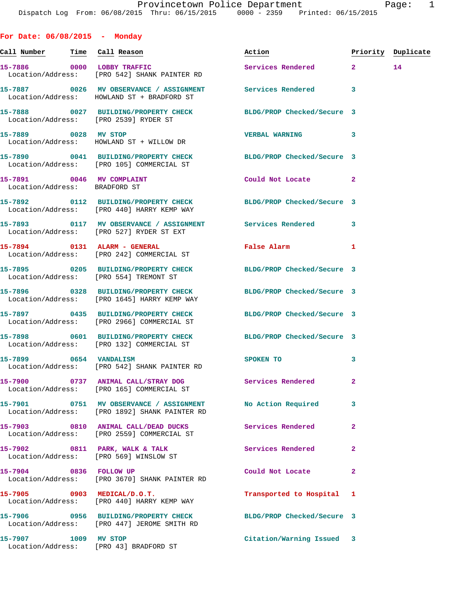**For Date: 06/08/2015 - Monday**

**Call Number Time Call Reason Action Priority Duplicate 15-7886 0000 LOBBY TRAFFIC Services Rendered 2 14**  Location/Address: [PRO 542] SHANK PAINTER RD **15-7887 0026 MV OBSERVANCE / ASSIGNMENT Services Rendered 3**  Location/Address: HOWLAND ST + BRADFORD ST **15-7888 0027 BUILDING/PROPERTY CHECK BLDG/PROP Checked/Secure 3**  Location/Address: [PRO 2539] RYDER ST **15-7889 0028 MV STOP VERBAL WARNING 3**  Location/Address: HOWLAND ST + WILLOW DR **15-7890 0041 BUILDING/PROPERTY CHECK BLDG/PROP Checked/Secure 3**  Location/Address: [PRO 105] COMMERCIAL ST **15-7891 0046 MV COMPLAINT Could Not Locate 2**  Location/Address: BRADFORD ST **15-7892 0112 BUILDING/PROPERTY CHECK BLDG/PROP Checked/Secure 3**  Location/Address: [PRO 440] HARRY KEMP WAY **15-7893 0117 MV OBSERVANCE / ASSIGNMENT Services Rendered 3**  Location/Address: [PRO 527] RYDER ST EXT **15-7894 0131 ALARM - GENERAL False Alarm 1**  Location/Address: [PRO 242] COMMERCIAL ST **15-7895 0205 BUILDING/PROPERTY CHECK BLDG/PROP Checked/Secure 3**  Location/Address: [PRO 554] TREMONT ST **15-7896 0328 BUILDING/PROPERTY CHECK BLDG/PROP Checked/Secure 3**  Location/Address: [PRO 1645] HARRY KEMP WAY **15-7897 0435 BUILDING/PROPERTY CHECK BLDG/PROP Checked/Secure 3**  Location/Address: [PRO 2966] COMMERCIAL ST **15-7898 0601 BUILDING/PROPERTY CHECK BLDG/PROP Checked/Secure 3**  Location/Address: [PRO 132] COMMERCIAL ST **15-7899 0654 VANDALISM SPOKEN TO 3**  Location/Address: [PRO 542] SHANK PAINTER RD **15-7900 0737 ANIMAL CALL/STRAY DOG Services Rendered 2**  Location/Address: [PRO 165] COMMERCIAL ST **15-7901 0751 MV OBSERVANCE / ASSIGNMENT No Action Required 3**  Location/Address: [PRO 1892] SHANK PAINTER RD **15-7903 0810 ANIMAL CALL/DEAD DUCKS Services Rendered 2**  Location/Address: [PRO 2559] COMMERCIAL ST **15-7902 0811 PARK, WALK & TALK Services Rendered 2**  Location/Address: [PRO 569] WINSLOW ST **15-7904 0836 FOLLOW UP Could Not Locate 2**  Location/Address: [PRO 3670] SHANK PAINTER RD **15-7905 0903 MEDICAL/D.O.T. Transported to Hospital 1**  Location/Address: [PRO 440] HARRY KEMP WAY **15-7906 0956 BUILDING/PROPERTY CHECK BLDG/PROP Checked/Secure 3**  Location/Address: [PRO 447] JEROME SMITH RD **15-7907 1009 MV STOP Citation/Warning Issued 3**  Location/Address: [PRO 43] BRADFORD ST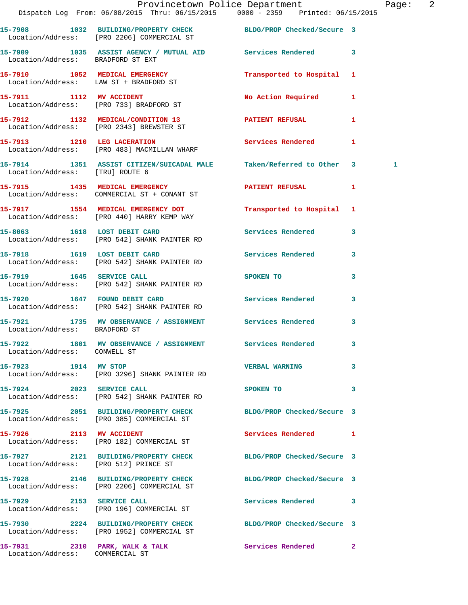|                                       | Provincetown Police Department<br>Dispatch Log From: 06/08/2015 Thru: 06/15/2015 0000 - 2359 Printed: 06/15/2015 |                                                                                                                                                                                                                                |                            | Page: 2      |  |
|---------------------------------------|------------------------------------------------------------------------------------------------------------------|--------------------------------------------------------------------------------------------------------------------------------------------------------------------------------------------------------------------------------|----------------------------|--------------|--|
|                                       | 15-7908 1032 BUILDING/PROPERTY CHECK BLDG/PROP Checked/Secure 3<br>Location/Address: [PRO 2206] COMMERCIAL ST    |                                                                                                                                                                                                                                |                            |              |  |
| Location/Address: BRADFORD ST EXT     | 15-7909 1035 ASSIST AGENCY / MUTUAL AID Services Rendered 3                                                      |                                                                                                                                                                                                                                |                            |              |  |
|                                       | 15-7910 1052 MEDICAL EMERGENCY<br>Location/Address: LAW ST + BRADFORD ST                                         | Transported to Hospital 1                                                                                                                                                                                                      |                            |              |  |
|                                       | 15-7911 1112 MV ACCIDENT<br>Location/Address: [PRO 733] BRADFORD ST                                              | No Action Required 1                                                                                                                                                                                                           |                            |              |  |
|                                       | 15-7912 1132 MEDICAL/CONDITION 13<br>Location/Address: [PRO 2343] BREWSTER ST                                    | <b>PATIENT REFUSAL 1</b>                                                                                                                                                                                                       |                            |              |  |
|                                       | 15-7913 1210 LEG LACERATION<br>Location/Address: [PRO 483] MACMILLAN WHARF                                       | Services Rendered                                                                                                                                                                                                              | 1                          |              |  |
| Location/Address: [TRU] ROUTE 6       | 15-7914 1351 ASSIST CITIZEN/SUICADAL MALE Taken/Referred to Other 3                                              |                                                                                                                                                                                                                                |                            | $\mathbf{1}$ |  |
|                                       | 15-7915 1435 MEDICAL EMERGENCY<br>Location/Address: COMMERCIAL ST + CONANT ST                                    | PATIENT REFUSAL                                                                                                                                                                                                                | $\mathbf{1}$               |              |  |
|                                       | 15-7917 1554 MEDICAL EMERGENCY DOT<br>Location/Address: [PRO 440] HARRY KEMP WAY                                 | Transported to Hospital 1                                                                                                                                                                                                      |                            |              |  |
|                                       | 15-8063 1618 LOST DEBIT CARD<br>Location/Address: [PRO 542] SHANK PAINTER RD                                     | Services Rendered                                                                                                                                                                                                              | $\mathbf{3}$               |              |  |
|                                       | 15-7918 1619 LOST DEBIT CARD<br>Location/Address: [PRO 542] SHANK PAINTER RD                                     | Services Rendered 3                                                                                                                                                                                                            |                            |              |  |
|                                       | 15-7919 1645 SERVICE CALL<br>Location/Address: [PRO 542] SHANK PAINTER RD                                        | SPOKEN TO THE SPOKEN OF THE SPOKEN OF THE SPOKEN OF THE SPOKEN OF THE SPOKEN OF THE SPOKEN OF THE SPOKEN OF THE SPOKEN OF THE SPOKEN OF THE SPOKEN OF THE SPOKEN OF THE SPOKEN OF THE SPOKEN OF THE SPOKEN OF THE SPOKEN OF TH | 3                          |              |  |
|                                       | 15-7920 1647 FOUND DEBIT CARD<br>Location/Address: [PRO 542] SHANK PAINTER RD                                    | Services Rendered 3                                                                                                                                                                                                            |                            |              |  |
| Location/Address: BRADFORD ST         | 15-7921 1735 MV OBSERVANCE / ASSIGNMENT Services Rendered 3                                                      |                                                                                                                                                                                                                                |                            |              |  |
| Location/Address: CONWELL ST          | 15-7922 1801 MV OBSERVANCE / ASSIGNMENT Services Rendered                                                        |                                                                                                                                                                                                                                |                            |              |  |
| 15-7923 1914 MV STOP                  | Location/Address: [PRO 3296] SHANK PAINTER RD                                                                    | <b>VERBAL WARNING</b>                                                                                                                                                                                                          | $\mathbf{3}$               |              |  |
| 15-7924 2023 SERVICE CALL             | Location/Address: [PRO 542] SHANK PAINTER RD                                                                     | SPOKEN TO                                                                                                                                                                                                                      | $\overline{\phantom{a}}$ 3 |              |  |
|                                       | 15-7925 2051 BUILDING/PROPERTY CHECK BLDG/PROP Checked/Secure 3<br>Location/Address: [PRO 385] COMMERCIAL ST     |                                                                                                                                                                                                                                |                            |              |  |
|                                       | 15-7926 2113 MV ACCIDENT<br>Location/Address: [PRO 182] COMMERCIAL ST                                            | Services Rendered 1                                                                                                                                                                                                            |                            |              |  |
| Location/Address: [PRO 512] PRINCE ST | 15-7927 2121 BUILDING/PROPERTY CHECK BLDG/PROP Checked/Secure 3                                                  |                                                                                                                                                                                                                                |                            |              |  |
|                                       | 15-7928 2146 BUILDING/PROPERTY CHECK BLDG/PROP Checked/Secure 3<br>Location/Address: [PRO 2206] COMMERCIAL ST    |                                                                                                                                                                                                                                |                            |              |  |
|                                       | 15-7929 2153 SERVICE CALL<br>Location/Address: [PRO 196] COMMERCIAL ST                                           | Services Rendered 3                                                                                                                                                                                                            |                            |              |  |
|                                       | 15-7930 2224 BUILDING/PROPERTY CHECK BLDG/PROP Checked/Secure 3<br>Location/Address: [PRO 1952] COMMERCIAL ST    |                                                                                                                                                                                                                                |                            |              |  |
| Location/Address: COMMERCIAL ST       | 15-7931 2310 PARK, WALK & TALK 5 Services Rendered 2                                                             |                                                                                                                                                                                                                                |                            |              |  |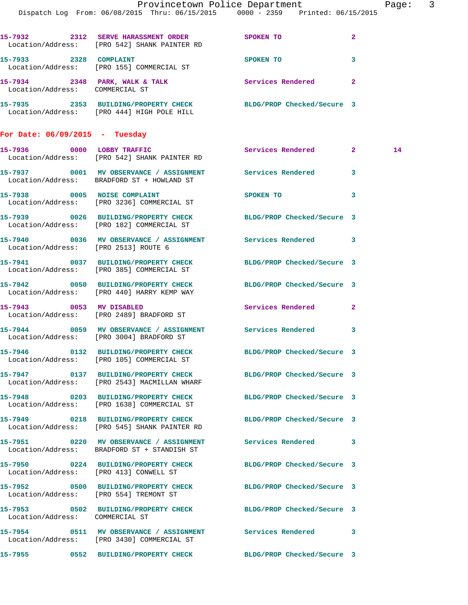|                                      | Dispatch Log From: 06/08/2015 Thru: 06/15/2015 0000 - 2359 Printed: 06/15/2015                                  | Provincetown Police Department                                                                                             |              | Page: 3 |  |
|--------------------------------------|-----------------------------------------------------------------------------------------------------------------|----------------------------------------------------------------------------------------------------------------------------|--------------|---------|--|
|                                      | 15-7932 2312 SERVE HARASSMENT ORDER SPOKEN TO<br>Location/Address: [PRO 542] SHANK PAINTER RD                   |                                                                                                                            | $\mathbf{2}$ |         |  |
| 15-7933 2328 COMPLAINT               | Location/Address: [PRO 155] COMMERCIAL ST                                                                       | SPOKEN TO                                                                                                                  | 3            |         |  |
|                                      | 15-7934 2348 PARK, WALK & TALK Services Rendered 2<br>Location/Address: COMMERCIAL ST                           |                                                                                                                            |              |         |  |
|                                      | 15-7935 2353 BUILDING/PROPERTY CHECK BLDG/PROP Checked/Secure 3<br>Location/Address: [PRO 444] HIGH POLE HILL   |                                                                                                                            |              |         |  |
| For Date: $06/09/2015$ - Tuesday     |                                                                                                                 |                                                                                                                            |              |         |  |
|                                      | 15-7936 0000 LOBBY TRAFFIC<br>Location/Address: [PRO 542] SHANK PAINTER RD                                      | Services Rendered 2                                                                                                        |              | 14      |  |
|                                      | 15-7937 0001 MV OBSERVANCE / ASSIGNMENT Services Rendered 3<br>Location/Address: BRADFORD ST + HOWLAND ST       |                                                                                                                            |              |         |  |
|                                      | 15-7938 0005 NOISE COMPLAINT<br>Location/Address: [PRO 3236] COMMERCIAL ST                                      | SPOKEN TO THE STATE OF THE STATE OF THE STATE OF THE STATE OF THE STATE OF THE STATE OF THE STATE OF THE STATE<br>$\sim$ 3 |              |         |  |
|                                      | 15-7939 0026 BUILDING/PROPERTY CHECK BLDG/PROP Checked/Secure 3<br>Location/Address: [PRO 182] COMMERCIAL ST    |                                                                                                                            |              |         |  |
| Location/Address: [PRO 2513] ROUTE 6 | 15-7940 0036 MV OBSERVANCE / ASSIGNMENT Services Rendered 3                                                     |                                                                                                                            |              |         |  |
|                                      | 15-7941 0037 BUILDING/PROPERTY CHECK BLDG/PROP Checked/Secure 3<br>Location/Address: [PRO 385] COMMERCIAL ST    |                                                                                                                            |              |         |  |
|                                      | 15-7942 0050 BUILDING/PROPERTY CHECK BLDG/PROP Checked/Secure 3<br>Location/Address: [PRO 440] HARRY KEMP WAY   |                                                                                                                            |              |         |  |
| 15-7943 0053 MV DISABLED             | Location/Address: [PRO 2489] BRADFORD ST                                                                        | Services Rendered 2                                                                                                        |              |         |  |
|                                      | 15-7944 0059 MV OBSERVANCE / ASSIGNMENT Services Rendered 3<br>Location/Address: [PRO 3004] BRADFORD ST         |                                                                                                                            |              |         |  |
|                                      | 15-7946 0132 BUILDING/PROPERTY CHECK BLDG/PROP Checked/Secure 3<br>Location/Address: [PRO 105] COMMERCIAL ST    |                                                                                                                            |              |         |  |
|                                      | 15-7947 0137 BUILDING/PROPERTY CHECK BLDG/PROP Checked/Secure 3<br>Location/Address: [PRO 2543] MACMILLAN WHARF |                                                                                                                            |              |         |  |
|                                      | 15-7948 0203 BUILDING/PROPERTY CHECK BLDG/PROP Checked/Secure 3<br>Location/Address: [PRO 1638] COMMERCIAL ST   |                                                                                                                            |              |         |  |
|                                      | 15-7949 0218 BUILDING/PROPERTY CHECK BLDG/PROP Checked/Secure 3<br>Location/Address: [PRO 545] SHANK PAINTER RD |                                                                                                                            |              |         |  |
|                                      | 15-7951 0220 MV OBSERVANCE / ASSIGNMENT Services Rendered 3<br>Location/Address: BRADFORD ST + STANDISH ST      |                                                                                                                            |              |         |  |
|                                      | 15-7950 0224 BUILDING/PROPERTY CHECK BLDG/PROP Checked/Secure 3<br>Location/Address: [PRO 413] CONWELL ST       |                                                                                                                            |              |         |  |
|                                      | 15-7952 0500 BUILDING/PROPERTY CHECK BLDG/PROP Checked/Secure 3<br>Location/Address: [PRO 554] TREMONT ST       |                                                                                                                            |              |         |  |
| Location/Address: COMMERCIAL ST      | 15-7953 0502 BUILDING/PROPERTY CHECK BLDG/PROP Checked/Secure 3                                                 |                                                                                                                            |              |         |  |
|                                      | 15-7954 0511 MV OBSERVANCE / ASSIGNMENT Services Rendered 3<br>Location/Address: [PRO 3430] COMMERCIAL ST       |                                                                                                                            |              |         |  |
|                                      | 15-7955 0552 BUILDING/PROPERTY CHECK BLDG/PROP Checked/Secure 3                                                 |                                                                                                                            |              |         |  |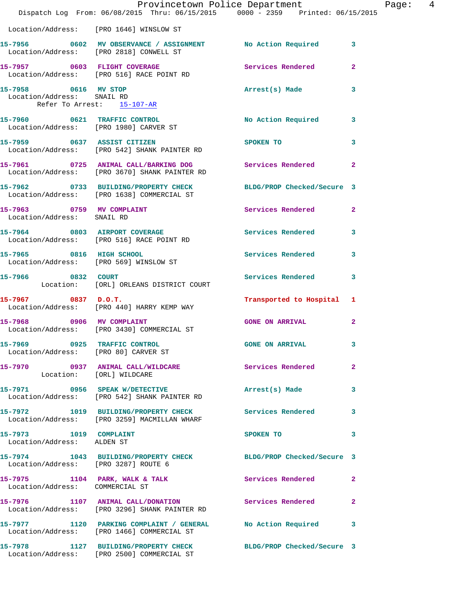|                                                                                  | Dispatch Log From: 06/08/2015 Thru: 06/15/2015 0000 - 2359 Printed: 06/15/2015                                | Provincetown Police Department Page: 4 |                          |
|----------------------------------------------------------------------------------|---------------------------------------------------------------------------------------------------------------|----------------------------------------|--------------------------|
|                                                                                  | Location/Address: [PRO 1646] WINSLOW ST                                                                       |                                        |                          |
|                                                                                  | 15-7956 0602 MV OBSERVANCE / ASSIGNMENT No Action Required 3<br>Location/Address: [PRO 2818] CONWELL ST       |                                        |                          |
|                                                                                  | 15-7957 0603 FLIGHT COVERAGE 2008 Services Rendered<br>Location/Address: [PRO 516] RACE POINT RD              |                                        | $\overline{2}$           |
| 15-7958 0616 MV STOP<br>Location/Address: SNAIL RD<br>Refer To Arrest: 15-107-AR |                                                                                                               | Arrest(s) Made                         | $\overline{\mathbf{3}}$  |
|                                                                                  | 15-7960 0621 TRAFFIC CONTROL<br>Location/Address: [PRO 1980] CARVER ST                                        | No Action Required 3                   |                          |
|                                                                                  | 15-7959 0637 ASSIST CITIZEN<br>Location/Address: [PRO 542] SHANK PAINTER RD                                   | SPOKEN TO                              | 3                        |
|                                                                                  | 15-7961 0725 ANIMAL CALL/BARKING DOG Services Rendered<br>Location/Address: [PRO 3670] SHANK PAINTER RD       |                                        | $\mathbf{2}$             |
|                                                                                  | 15-7962 0733 BUILDING/PROPERTY CHECK BLDG/PROP Checked/Secure 3<br>Location/Address: [PRO 1638] COMMERCIAL ST |                                        |                          |
| Location/Address: SNAIL RD                                                       | 15-7963 0759 MV COMPLAINT                                                                                     | Services Rendered 2                    |                          |
|                                                                                  | 15-7964 0803 AIRPORT COVERAGE<br>Location/Address: [PRO 516] RACE POINT RD                                    | Services Rendered                      | $\mathbf{3}$             |
|                                                                                  | 15-7965 0816 HIGH SCHOOL<br>Location/Address: [PRO 569] WINSLOW ST                                            | Services Rendered 3                    |                          |
| 15-7966 0832 COURT                                                               | Location: [ORL] ORLEANS DISTRICT COURT                                                                        | Services Rendered                      | 3                        |
| $15-7967$ 0837 D.O.T.                                                            | Location/Address: [PRO 440] HARRY KEMP WAY                                                                    | Transported to Hospital 1              |                          |
|                                                                                  | 15-7968 0906 MV COMPLAINT<br>Location/Address: [PRO 3430] COMMERCIAL ST                                       | <b>GONE ON ARRIVAL</b>                 | $\mathbf{2}$             |
| 15-7969 0925 TRAFFIC CONTROL<br>Location/Address: [PRO 80] CARVER ST             |                                                                                                               | GONE ON ARRIVAL 3                      |                          |
| Location: [ORL] WILDCARE                                                         | 15-7970 0937 ANIMAL CALL/WILDCARE Services Rendered                                                           |                                        | $\overline{2}$           |
|                                                                                  | 15-7971 0956 SPEAK W/DETECTIVE<br>Location/Address: [PRO 542] SHANK PAINTER RD                                | Arrest(s) Made                         | 3                        |
|                                                                                  | 15-7972 1019 BUILDING/PROPERTY CHECK Services Rendered<br>Location/Address: [PRO 3259] MACMILLAN WHARF        |                                        | $\mathbf{3}$             |
| 15-7973 1019 COMPLAINT<br>Location/Address: ALDEN ST                             |                                                                                                               | SPOKEN TO                              | $\overline{\phantom{a}}$ |
| Location/Address: [PRO 3287] ROUTE 6                                             | 15-7974 1043 BUILDING/PROPERTY CHECK BLDG/PROP Checked/Secure 3                                               |                                        |                          |
| Location/Address: COMMERCIAL ST                                                  | 15-7975 1104 PARK, WALK & TALK 1988 Services Rendered 2                                                       |                                        |                          |
|                                                                                  | 15-7976 1107 ANIMAL CALL/DONATION Services Rendered<br>Location/Address: [PRO 3296] SHANK PAINTER RD          |                                        | $\mathbf{2}$             |
|                                                                                  | 15-7977 1120 PARKING COMPLAINT / GENERAL No Action Required 3<br>Location/Address: [PRO 1466] COMMERCIAL ST   |                                        |                          |
|                                                                                  | 15-7978 1127 BUILDING/PROPERTY CHECK BLDG/PROP Checked/Secure 3<br>Location/Address: [PRO 2500] COMMERCIAL ST |                                        |                          |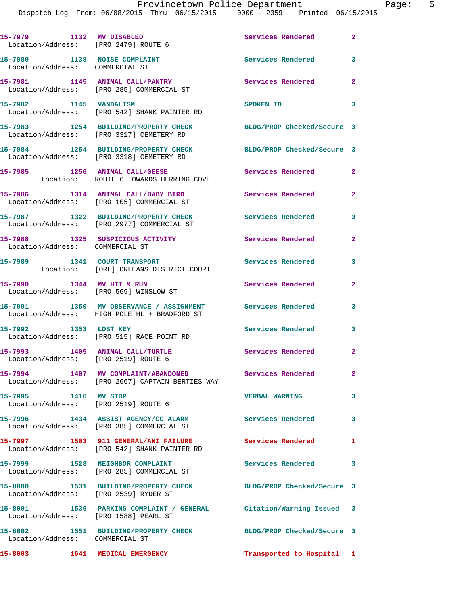| 15-7979 1132 MV DISABLED<br>Location/Address: [PRO 2479] ROUTE 6    |                                                                                                             | Services Rendered          | $\mathbf{2}$   |
|---------------------------------------------------------------------|-------------------------------------------------------------------------------------------------------------|----------------------------|----------------|
| 15-7980 1138 NOISE COMPLAINT<br>Location/Address: COMMERCIAL ST     |                                                                                                             | Services Rendered 3        |                |
|                                                                     | 15-7981 1145 ANIMAL CALL/PANTRY<br>Location/Address: [PRO 285] COMMERCIAL ST                                | Services Rendered          | $\mathbf{2}$   |
| 15-7982 1145 VANDALISM                                              | Location/Address: [PRO 542] SHANK PAINTER RD                                                                | SPOKEN TO                  | 3              |
|                                                                     | 15-7983 1254 BUILDING/PROPERTY CHECK<br>Location/Address: [PRO 3317] CEMETERY RD                            | BLDG/PROP Checked/Secure 3 |                |
|                                                                     | 15-7984 1254 BUILDING/PROPERTY CHECK<br>Location/Address: [PRO 3318] CEMETERY RD                            | BLDG/PROP Checked/Secure 3 |                |
|                                                                     | 15-7985 1256 ANIMAL CALL/GEESE<br>Location: ROUTE 6 TOWARDS HERRING COVE                                    | Services Rendered          | $\overline{2}$ |
|                                                                     | 15-7986 1314 ANIMAL CALL/BABY BIRD<br>Location/Address: [PRO 105] COMMERCIAL ST                             | <b>Services Rendered</b>   | $\overline{2}$ |
|                                                                     | 15-7987 1322 BUILDING/PROPERTY CHECK<br>Location/Address: [PRO 2977] COMMERCIAL ST                          | Services Rendered          | 3              |
| Location/Address: COMMERCIAL ST                                     | 15-7988 1325 SUSPICIOUS ACTIVITY                                                                            | Services Rendered          | $\mathbf{2}$   |
|                                                                     | 15-7989 1341 COURT TRANSPORT<br>Location: [ORL] ORLEANS DISTRICT COURT                                      | <b>Services Rendered</b>   | $\mathbf{3}$   |
| 15-7990 1344 MV HIT & RUN<br>Location/Address: [PRO 569] WINSLOW ST |                                                                                                             | Services Rendered          | $\mathbf{2}$   |
|                                                                     | 15-7991 1350 MV OBSERVANCE / ASSIGNMENT Services Rendered<br>Location/Address: HIGH POLE HL + BRADFORD ST   |                            | $\mathbf{3}$   |
| 15-7992 1353 LOST KEY                                               | Location/Address: [PRO 515] RACE POINT RD                                                                   | <b>Services Rendered</b>   | 3              |
| 15-7993 1405 ANIMAL CALL/TURTLE                                     | Location/Address: [PRO 2519] ROUTE 6                                                                        | Services Rendered          | $\overline{2}$ |
|                                                                     | 15-7994 1407 MV COMPLAINT/ABANDONED<br>Location/Address: [PRO 2667] CAPTAIN BERTIES WAY                     | <b>Services Rendered</b>   | $\overline{2}$ |
| 15-7995 1416 MV STOP                                                | Location/Address: [PRO 2519] ROUTE 6                                                                        | <b>VERBAL WARNING</b>      | $\mathbf{3}$   |
|                                                                     | 15-7996 1434 ASSIST AGENCY/CC ALARM Services Rendered 3<br>Location/Address: [PRO 385] COMMERCIAL ST        |                            |                |
|                                                                     | 15-7997 1503 911 GENERAL/ANI FAILURE Services Rendered 1<br>Location/Address: [PRO 542] SHANK PAINTER RD    |                            |                |
|                                                                     | 15-7999 1528 NEIGHBOR COMPLAINT<br>Location/Address: [PRO 285] COMMERCIAL ST                                | Services Rendered 3        |                |
| Location/Address: [PRO 2539] RYDER ST                               | 15-8000 1531 BUILDING/PROPERTY CHECK BLDG/PROP Checked/Secure 3                                             |                            |                |
|                                                                     | 15-8001 1539 PARKING COMPLAINT / GENERAL Citation/Warning Issued 3<br>Location/Address: [PRO 1588] PEARL ST |                            |                |
| Location/Address: COMMERCIAL ST                                     | 15-8002 1551 BUILDING/PROPERTY CHECK BLDG/PROP Checked/Secure 3                                             |                            |                |
| 15-8003 1641 MEDICAL EMERGENCY                                      |                                                                                                             | Transported to Hospital 1  |                |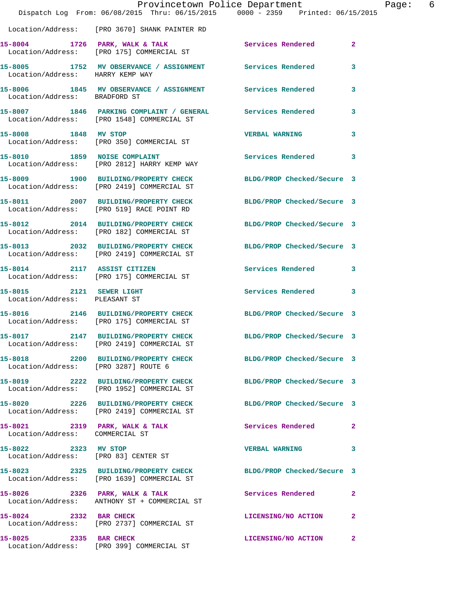|                                                           | Dispatch Log From: 06/08/2015 Thru: 06/15/2015 0000 - 2359 Printed: 06/15/2015                                | Provincetown Police Department | Page:        | 6 |
|-----------------------------------------------------------|---------------------------------------------------------------------------------------------------------------|--------------------------------|--------------|---|
|                                                           | Location/Address: [PRO 3670] SHANK PAINTER RD                                                                 |                                |              |   |
|                                                           | 15-8004 1726 PARK, WALK & TALK<br>Location/Address: [PRO 175] COMMERCIAL ST                                   | <b>Services Rendered</b>       | $\mathbf{2}$ |   |
| Location/Address: HARRY KEMP WAY                          | 15-8005 1752 MV OBSERVANCE / ASSIGNMENT Services Rendered                                                     |                                | 3            |   |
| Location/Address: BRADFORD ST                             | 15-8006 1845 MV OBSERVANCE / ASSIGNMENT Services Rendered                                                     |                                | 3            |   |
|                                                           | 15-8007 1846 PARKING COMPLAINT / GENERAL Services Rendered<br>Location/Address: [PRO 1548] COMMERCIAL ST      |                                | $\mathbf{3}$ |   |
| 15-8008 1848 MV STOP                                      | Location/Address: [PRO 350] COMMERCIAL ST                                                                     | <b>VERBAL WARNING</b>          | 3            |   |
|                                                           | 15-8010 1859 NOISE COMPLAINT<br>Location/Address: [PRO 2812] HARRY KEMP WAY                                   | Services Rendered 3            |              |   |
|                                                           | 15-8009 1900 BUILDING/PROPERTY CHECK<br>Location/Address: [PRO 2419] COMMERCIAL ST                            | BLDG/PROP Checked/Secure 3     |              |   |
|                                                           | 15-8011 2007 BUILDING/PROPERTY CHECK<br>Location/Address: [PRO 519] RACE POINT RD                             | BLDG/PROP Checked/Secure 3     |              |   |
|                                                           | 15-8012 2014 BUILDING/PROPERTY CHECK<br>Location/Address: [PRO 182] COMMERCIAL ST                             | BLDG/PROP Checked/Secure 3     |              |   |
|                                                           | 15-8013 2032 BUILDING/PROPERTY CHECK<br>Location/Address: [PRO 2419] COMMERCIAL ST                            | BLDG/PROP Checked/Secure 3     |              |   |
| 15-8014 2117 ASSIST CITIZEN                               | Location/Address: [PRO 175] COMMERCIAL ST                                                                     | Services Rendered 3            |              |   |
| 15-8015 2121 SEWER LIGHT<br>Location/Address: PLEASANT ST |                                                                                                               | Services Rendered              | 3            |   |
|                                                           | 15-8016 2146 BUILDING/PROPERTY CHECK<br>Location/Address: [PRO 175] COMMERCIAL ST                             | BLDG/PROP Checked/Secure 3     |              |   |
|                                                           | 15-8017 2147 BUILDING/PROPERTY CHECK BLDG/PROP Checked/Secure 3<br>Location/Address: [PRO 2419] COMMERCIAL ST |                                |              |   |
| Location/Address: [PRO 3287] ROUTE 6                      | 15-8018<br>2200 BUILDING/PROPERTY CHECK<br>BLDG/PROP Checked/Secure 3                                         |                                |              |   |
|                                                           | 15-8019 2222 BUILDING/PROPERTY CHECK<br>Location/Address: [PRO 1952] COMMERCIAL ST                            | BLDG/PROP Checked/Secure 3     |              |   |
|                                                           | 15-8020 2226 BUILDING/PROPERTY CHECK<br>Location/Address: [PRO 2419] COMMERCIAL ST                            | BLDG/PROP Checked/Secure 3     |              |   |
| Location/Address: COMMERCIAL ST                           | 15-8021 2319 PARK, WALK & TALK                                                                                | Services Rendered              | $\mathbf{2}$ |   |
| 15-8022 2323 MV STOP                                      | Location/Address: [PRO 83] CENTER ST                                                                          | VERBAL WARNING 3               |              |   |
|                                                           | 15-8023 2325 BUILDING/PROPERTY CHECK<br>Location/Address: [PRO 1639] COMMERCIAL ST                            | BLDG/PROP Checked/Secure 3     |              |   |
| 15-8026 2326 PARK, WALK & TALK                            | Location/Address: ANTHONY ST + COMMERCIAL ST                                                                  | Services Rendered              | $\mathbf{2}$ |   |
|                                                           | 15-8024 2332 BAR CHECK<br>Location/Address: [PRO 2737] COMMERCIAL ST                                          | LICENSING/NO ACTION            | 2            |   |
| 15-8025 2335 BAR CHECK                                    | Location/Address: [PRO 399] COMMERCIAL ST                                                                     | LICENSING/NO ACTION            | $\mathbf{2}$ |   |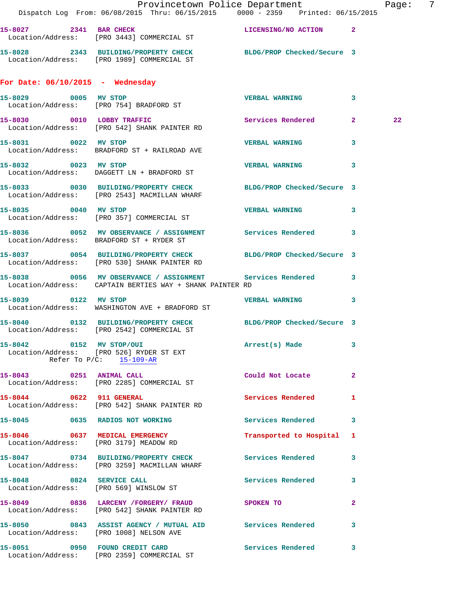|                                    | Provincetown Police Department Page: 7<br>Dispatch Log From: 06/08/2015 Thru: 06/15/2015 0000 - 2359 Printed: 06/15/2015 |                           |              |    |  |
|------------------------------------|--------------------------------------------------------------------------------------------------------------------------|---------------------------|--------------|----|--|
|                                    | 15-8027 2341 BAR CHECK LICENSING/NO ACTION 2<br>Location/Address: [PRO 3443] COMMERCIAL ST                               |                           |              |    |  |
|                                    | 15-8028 2343 BUILDING/PROPERTY CHECK BLDG/PROP Checked/Secure 3<br>Location/Address: [PRO 1989] COMMERCIAL ST            |                           |              |    |  |
| For Date: $06/10/2015$ - Wednesday |                                                                                                                          |                           |              |    |  |
| 15-8029 0005 MV STOP               | Location/Address: [PRO 754] BRADFORD ST                                                                                  | VERBAL WARNING 3          |              |    |  |
|                                    | 15-8030 0010 LOBBY TRAFFIC<br>Location/Address: [PRO 542] SHANK PAINTER RD                                               | Services Rendered 2       |              | 22 |  |
| 15-8031 0022 MV STOP               | Location/Address: BRADFORD ST + RAILROAD AVE                                                                             | <b>VERBAL WARNING</b>     | $\mathbf{3}$ |    |  |
|                                    | 15-8032 0023 MV STOP<br>Location/Address: DAGGETT LN + BRADFORD ST                                                       | <b>VERBAL WARNING</b>     | 3            |    |  |
|                                    | 15-8033 0030 BUILDING/PROPERTY CHECK BLDG/PROP Checked/Secure 3<br>Location/Address: [PRO 2543] MACMILLAN WHARF          |                           |              |    |  |
|                                    | 15-8035 0040 MV STOP<br>Location/Address: [PRO 357] COMMERCIAL ST                                                        | <b>VERBAL WARNING</b>     | $\mathbf{3}$ |    |  |
|                                    | 15-8036 0052 MV OBSERVANCE / ASSIGNMENT Services Rendered 3<br>Location/Address: BRADFORD ST + RYDER ST                  |                           |              |    |  |
|                                    | 15-8037 0054 BUILDING/PROPERTY CHECK BLDG/PROP Checked/Secure 3<br>Location/Address: [PRO 530] SHANK PAINTER RD          |                           |              |    |  |
|                                    | 15-8038 0056 MV OBSERVANCE / ASSIGNMENT Services Rendered 3<br>Location/Address: CAPTAIN BERTIES WAY + SHANK PAINTER RD  |                           |              |    |  |
| 15-8039 0122 MV STOP               | Location/Address: WASHINGTON AVE + BRADFORD ST                                                                           | VERBAL WARNING 3          |              |    |  |
|                                    | 15-8040 0132 BUILDING/PROPERTY CHECK BLDG/PROP Checked/Secure 3<br>Location/Address: [PRO 2542] COMMERCIAL ST            |                           |              |    |  |
| 15-8042 0152 MV STOP/OUI           | Location/Address: [PRO 526] RYDER ST EXT<br>Refer To $P/C$ : 15-109-AR                                                   | Arrest(s) Made            | 3            |    |  |
|                                    | 15-8043 0251 ANIMAL CALL<br>Location/Address: [PRO 2285] COMMERCIAL ST                                                   | Could Not Locate 2        |              |    |  |
| 15-8044 0622 911 GENERAL           | Location/Address: [PRO 542] SHANK PAINTER RD                                                                             | Services Rendered 1       |              |    |  |
|                                    | 15-8045 0635 RADIOS NOT WORKING                                                                                          | Services Rendered 3       |              |    |  |
|                                    | 15-8046 0637 MEDICAL EMERGENCY<br>Location/Address: [PRO 3179] MEADOW RD                                                 | Transported to Hospital 1 |              |    |  |
|                                    | 15-8047 0734 BUILDING/PROPERTY CHECK Services Rendered<br>Location/Address: [PRO 3259] MACMILLAN WHARF                   |                           | $\mathbf{3}$ |    |  |
|                                    | 15-8048 0824 SERVICE CALL<br>Location/Address: [PRO 569] WINSLOW ST                                                      | Services Rendered 3       |              |    |  |
|                                    | 15-8049 0836 LARCENY /FORGERY FRAUD SPOKEN TO<br>Location/Address: [PRO 542] SHANK PAINTER RD                            |                           | $\mathbf{2}$ |    |  |
|                                    | 15-8050 0843 ASSIST AGENCY / MUTUAL AID Services Rendered 3<br>Location/Address: [PRO 1008] NELSON AVE                   |                           |              |    |  |
|                                    | 15-8051 0950 FOUND CREDIT CARD<br>Location/Address: [PRO 2359] COMMERCIAL ST                                             | Services Rendered 3       |              |    |  |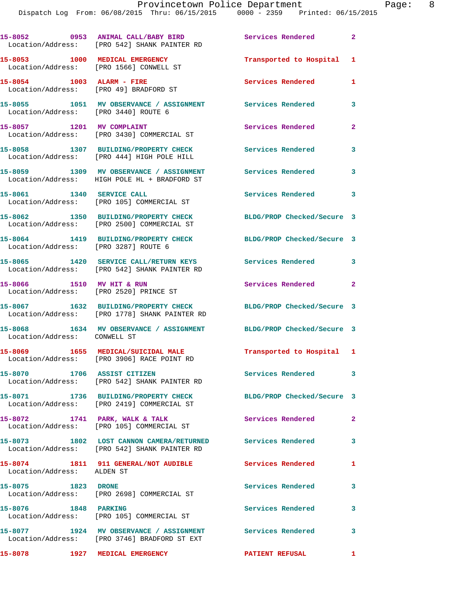|                                      | 15-8052 0953 ANIMAL CALL/BABY BIRD<br>Location/Address: [PRO 542] SHANK PAINTER RD                            | <b>Services Rendered</b>   | $\mathbf{2}$               |
|--------------------------------------|---------------------------------------------------------------------------------------------------------------|----------------------------|----------------------------|
|                                      | 15-8053 1000 MEDICAL EMERGENCY<br>Location/Address: [PRO 1566] CONWELL ST                                     | Transported to Hospital 1  |                            |
| 15-8054 1003 ALARM - FIRE            | Location/Address: [PRO 49] BRADFORD ST                                                                        | Services Rendered          | 1                          |
| Location/Address: [PRO 3440] ROUTE 6 | 15-8055 1051 MV OBSERVANCE / ASSIGNMENT Services Rendered                                                     |                            | 3                          |
| 15-8057 1201 MV COMPLAINT            | Location/Address: [PRO 3430] COMMERCIAL ST                                                                    | Services Rendered          | $\overline{2}$             |
|                                      | 15-8058 1307 BUILDING/PROPERTY CHECK Services Rendered<br>Location/Address: [PRO 444] HIGH POLE HILL          |                            | 3                          |
|                                      | 15-8059 1309 MV OBSERVANCE / ASSIGNMENT Services Rendered<br>Location/Address: HIGH POLE HL + BRADFORD ST     | $\sim$ 3                   |                            |
|                                      | 15-8061 1340 SERVICE CALL<br>Location/Address: [PRO 105] COMMERCIAL ST                                        | <b>Services Rendered</b>   | $\mathbf{3}$               |
|                                      | 15-8062 1350 BUILDING/PROPERTY CHECK<br>Location/Address: [PRO 2500] COMMERCIAL ST                            | BLDG/PROP Checked/Secure 3 |                            |
|                                      | 15-8064 1419 BUILDING/PROPERTY CHECK<br>Location/Address: [PRO 3287] ROUTE 6                                  | BLDG/PROP Checked/Secure 3 |                            |
|                                      | 15-8065 1420 SERVICE CALL/RETURN KEYS<br>Location/Address: [PRO 542] SHANK PAINTER RD                         | Services Rendered 3        |                            |
|                                      | 15-8066 1510 MV HIT & RUN<br>Location/Address: [PRO 2520] PRINCE ST                                           | Services Rendered          | $\overline{\phantom{0}}$ 2 |
|                                      | 15-8067 1632 BUILDING/PROPERTY CHECK<br>Location/Address: [PRO 1778] SHANK PAINTER RD                         | BLDG/PROP Checked/Secure 3 |                            |
| Location/Address: CONWELL ST         | 15-8068 1634 MV OBSERVANCE / ASSIGNMENT BLDG/PROP Checked/Secure 3                                            |                            |                            |
|                                      | 15-8069 1655 MEDICAL/SUICIDAL MALE<br>Location/Address: [PRO 3906] RACE POINT RD                              | Transported to Hospital 1  |                            |
| 15-8070 1706 ASSIST CITIZEN          | Location/Address: [PRO 542] SHANK PAINTER RD                                                                  | <b>Services Rendered</b>   | $\overline{\mathbf{3}}$    |
|                                      | 15-8071 1736 BUILDING/PROPERTY CHECK BLDG/PROP Checked/Secure 3<br>Location/Address: [PRO 2419] COMMERCIAL ST |                            |                            |
|                                      | 15-8072 1741 PARK, WALK & TALK<br>Location/Address: [PRO 105] COMMERCIAL ST                                   | Services Rendered          | $\mathbf{2}$               |
|                                      | 15-8073 1802 LOST CANNON CAMERA/RETURNED Services Rendered 3<br>Location/Address: [PRO 542] SHANK PAINTER RD  |                            |                            |
| Location/Address: ALDEN ST           | 15-8074 1811 911 GENERAL/NOT AUDIBLE                                                                          | Services Rendered          | 1                          |
| 15-8075 1823 DRONE                   | Location/Address: [PRO 2698] COMMERCIAL ST                                                                    | Services Rendered          | 3                          |
| 15-8076 1848 PARKING                 | Location/Address: [PRO 105] COMMERCIAL ST                                                                     | Services Rendered          | 3                          |
|                                      | 15-8077 1924 MV OBSERVANCE / ASSIGNMENT<br>Location/Address: [PRO 3746] BRADFORD ST EXT                       | <b>Services Rendered</b>   | $\overline{\mathbf{3}}$    |
| 15-8078                              | 1927 MEDICAL EMERGENCY                                                                                        | <b>PATIENT REFUSAL</b>     |                            |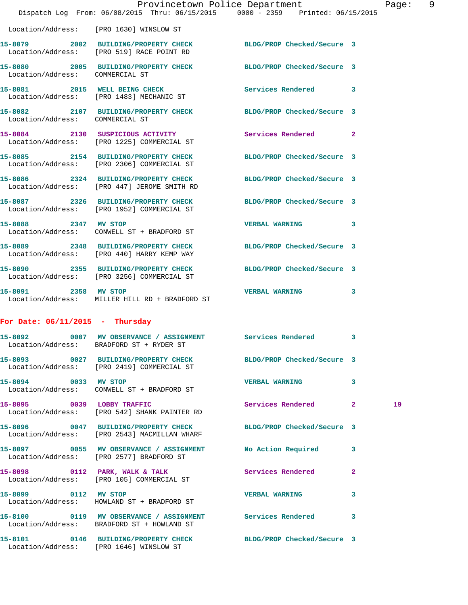|                                   |                                                                                                                 | Provincetown Police Department |                | Page |
|-----------------------------------|-----------------------------------------------------------------------------------------------------------------|--------------------------------|----------------|------|
|                                   | Dispatch Log From: 06/08/2015 Thru: 06/15/2015 0000 - 2359 Printed: 06/15/2015                                  |                                |                |      |
|                                   | Location/Address: [PRO 1630] WINSLOW ST                                                                         |                                |                |      |
|                                   | 15-8079 2002 BUILDING/PROPERTY CHECK BLDG/PROP Checked/Secure 3<br>Location/Address: [PRO 519] RACE POINT RD    |                                |                |      |
| Location/Address: COMMERCIAL ST   | 15-8080 2005 BUILDING/PROPERTY CHECK BLDG/PROP Checked/Secure 3                                                 |                                |                |      |
|                                   | 15-8081 2015 WELL BEING CHECK<br>Location/Address: [PRO 1483] MECHANIC ST                                       | Services Rendered              | 3              |      |
| Location/Address: COMMERCIAL ST   | 15-8082 2107 BUILDING/PROPERTY CHECK BLDG/PROP Checked/Secure 3                                                 |                                |                |      |
|                                   | 15-8084 2130 SUSPICIOUS ACTIVITY Services Rendered<br>Location/Address: [PRO 1225] COMMERCIAL ST                |                                | $\overline{2}$ |      |
|                                   | 15-8085 2154 BUILDING/PROPERTY CHECK BLDG/PROP Checked/Secure 3<br>Location/Address: [PRO 2306] COMMERCIAL ST   |                                |                |      |
|                                   | 15-8086 2324 BUILDING/PROPERTY CHECK BLDG/PROP Checked/Secure 3<br>Location/Address: [PRO 447] JEROME SMITH RD  |                                |                |      |
|                                   | 15-8087 2326 BUILDING/PROPERTY CHECK BLDG/PROP Checked/Secure 3<br>Location/Address: [PRO 1952] COMMERCIAL ST   |                                |                |      |
|                                   | 15-8088 2347 MV STOP<br>Location/Address: CONWELL ST + BRADFORD ST                                              | <b>VERBAL WARNING</b>          | 3              |      |
|                                   | 15-8089 2348 BUILDING/PROPERTY CHECK BLDG/PROP Checked/Secure 3<br>Location/Address: [PRO 440] HARRY KEMP WAY   |                                |                |      |
|                                   | 15-8090 2355 BUILDING/PROPERTY CHECK BLDG/PROP Checked/Secure 3<br>Location/Address: [PRO 3256] COMMERCIAL ST   |                                |                |      |
| 15-8091 2358 MV STOP              | Location/Address: MILLER HILL RD + BRADFORD ST                                                                  | <b>VERBAL WARNING</b>          | 3              |      |
| For Date: $06/11/2015$ - Thursday |                                                                                                                 |                                |                |      |
|                                   | 15-8092 0007 MV OBSERVANCE / ASSIGNMENT<br>Location/Address: BRADFORD ST + RYDER ST                             | Services Rendered              |                |      |
|                                   | 15-8093 0027 BUILDING/PROPERTY CHECK<br>Location/Address: [PRO 2419] COMMERCIAL ST                              | BLDG/PROP Checked/Secure 3     |                |      |
| 15-8094 0033 MV STOP              | Location/Address: CONWELL ST + BRADFORD ST                                                                      | <b>VERBAL WARNING</b>          | 3              |      |
| 15-8095 0039 LOBBY TRAFFIC        | Location/Address: [PRO 542] SHANK PAINTER RD                                                                    | Services Rendered              | $\mathbf{2}$   | 19   |
|                                   | 15-8096 0047 BUILDING/PROPERTY CHECK BLDG/PROP Checked/Secure 3<br>Location/Address: [PRO 2543] MACMILLAN WHARF |                                |                |      |
|                                   | 15-8097 0055 MV OBSERVANCE / ASSIGNMENT No Action Required<br>Location/Address: [PRO 2577] BRADFORD ST          |                                | 3              |      |
| 15-8098                           | 0112 PARK, WALK & TALK<br>Location/Address: [PRO 105] COMMERCIAL ST                                             | Services Rendered              | $\mathbf{2}$   |      |

**15-8099 0112 MV STOP VERBAL WARNING 3**  Location/Address: HOWLAND ST + BRADFORD ST

Location/Address: BRADFORD ST + HOWLAND ST

Location/Address: [PRO 1646] WINSLOW ST

**15-8100 0119 MV OBSERVANCE / ASSIGNMENT Services Rendered 3** 

**15-8101 0146 BUILDING/PROPERTY CHECK BLDG/PROP Checked/Secure 3** 

Page: 9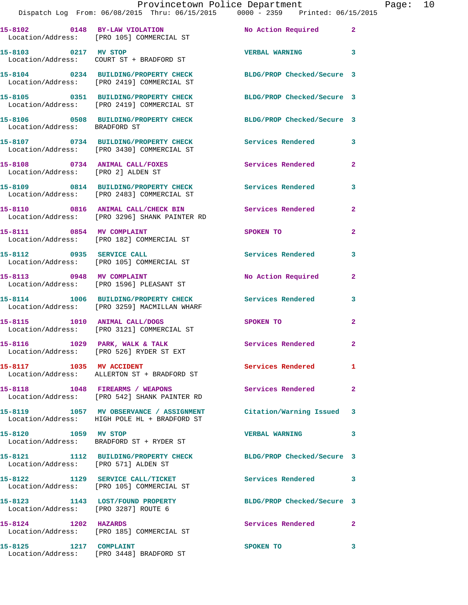| Provincetown Police Department |                                                |  |  | Page: | 10                              |  |  |  |
|--------------------------------|------------------------------------------------|--|--|-------|---------------------------------|--|--|--|
|                                | Dispatch Log From: 06/08/2015 Thru: 06/15/2015 |  |  |       | 0000 - 2359 Printed: 06/15/2015 |  |  |  |
|                                |                                                |  |  |       |                                 |  |  |  |

|                                                                      | 11Spatch Log From: 06/08/2015 Thru: 06/15/2015 - 0000 - 2359 - Printed: 06/15           |                            |                         |
|----------------------------------------------------------------------|-----------------------------------------------------------------------------------------|----------------------------|-------------------------|
|                                                                      | 15-8102 0148 BY-LAW VIOLATION<br>Location/Address: [PRO 105] COMMERCIAL ST              | No Action Required 2       |                         |
| 15-8103 0217 MV STOP                                                 |                                                                                         | <b>VERBAL WARNING</b>      | $\overline{\mathbf{3}}$ |
|                                                                      | 15-8104 0234 BUILDING/PROPERTY CHECK<br>Location/Address: [PRO 2419] COMMERCIAL ST      | BLDG/PROP Checked/Secure 3 |                         |
|                                                                      | 15-8105 0351 BUILDING/PROPERTY CHECK<br>Location/Address: [PRO 2419] COMMERCIAL ST      | BLDG/PROP Checked/Secure 3 |                         |
| Location/Address: BRADFORD ST                                        | 15-8106 0508 BUILDING/PROPERTY CHECK BLDG/PROP Checked/Secure 3                         |                            |                         |
|                                                                      | 15-8107 0734 BUILDING/PROPERTY CHECK<br>Location/Address: [PRO 3430] COMMERCIAL ST      | Services Rendered          | 3                       |
| 15-8108 0734 ANIMAL CALL/FOXES<br>Location/Address: [PRO 2] ALDEN ST |                                                                                         | Services Rendered          | $\overline{2}$          |
|                                                                      | 15-8109 0814 BUILDING/PROPERTY CHECK<br>Location/Address: [PRO 2483] COMMERCIAL ST      | Services Rendered          | 3                       |
|                                                                      | 15-8110 0816 ANIMAL CALL/CHECK BIN<br>Location/Address: [PRO 3296] SHANK PAINTER RD     | <b>Services Rendered</b>   | $\mathbf{2}$            |
|                                                                      | 15-8111 0854 MV COMPLAINT<br>Location/Address: [PRO 182] COMMERCIAL ST                  | SPOKEN TO                  | $\overline{2}$          |
| 15-8112 0935 SERVICE CALL                                            | Location/Address: [PRO 105] COMMERCIAL ST                                               | <b>Services Rendered</b>   | 3                       |
| 15-8113 0948 MV COMPLAINT                                            | Location/Address: [PRO 1596] PLEASANT ST                                                | No Action Required         | $\mathbf{2}$            |
|                                                                      | 15-8114 1006 BUILDING/PROPERTY CHECK<br>Location/Address: [PRO 3259] MACMILLAN WHARF    | Services Rendered          | 3                       |
| 15-8115 1010 ANIMAL CALL/DOGS                                        | Location/Address: [PRO 3121] COMMERCIAL ST                                              | SPOKEN TO                  | $\overline{2}$          |
|                                                                      | 15-8116 1029 PARK, WALK & TALK<br>Location/Address: [PRO 526] RYDER ST EXT              | <b>Services Rendered</b>   | $\mathbf{2}$            |
| 15-8117 1035 MV ACCIDENT                                             | Location/Address: ALLERTON ST + BRADFORD ST                                             | <b>Services Rendered</b>   | 1.                      |
|                                                                      | 15-8118 1048 FIREARMS / WEAPONS<br>Location/Address: [PRO 542] SHANK PAINTER RD         | Services Rendered          | $\mathbf{2}$            |
|                                                                      | 15-8119 1057 MV OBSERVANCE / ASSIGNMENT<br>Location/Address: HIGH POLE HL + BRADFORD ST | Citation/Warning Issued 3  |                         |
| 15-8120 1059 MV STOP                                                 | Location/Address: BRADFORD ST + RYDER ST                                                | <b>VERBAL WARNING</b>      | 3                       |
| Location/Address: [PRO 571] ALDEN ST                                 | 15-8121 1112 BUILDING/PROPERTY CHECK                                                    | BLDG/PROP Checked/Secure 3 |                         |
|                                                                      | 15-8122 1129 SERVICE CALL/TICKET<br>Location/Address: [PRO 105] COMMERCIAL ST           | Services Rendered 3        |                         |
| Location/Address: [PRO 3287] ROUTE 6                                 | 15-8123 1143 LOST/FOUND PROPERTY                                                        | BLDG/PROP Checked/Secure 3 |                         |
| 15-8124 1202 HAZARDS                                                 | Location/Address: [PRO 185] COMMERCIAL ST                                               | <b>Services Rendered</b>   | $\mathbf{2}$            |
| 15-8125 1217 COMPLAINT                                               | Location/Address: [PRO 3448] BRADFORD ST                                                | SPOKEN TO                  | 3                       |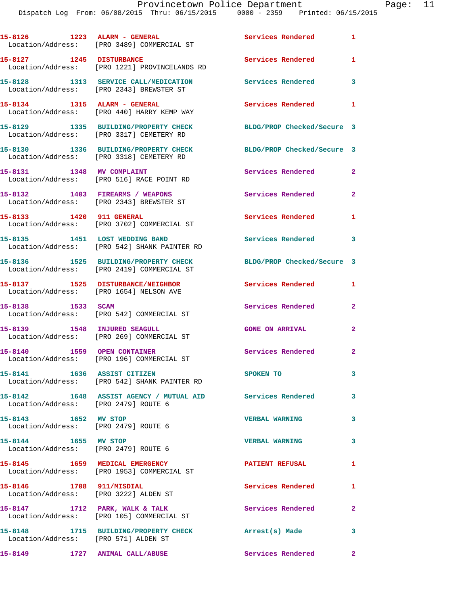|                                                                   | Location/Address: [PRO 3489] COMMERCIAL ST                                         | <b>Services Rendered</b>   | $\mathbf{1}$               |
|-------------------------------------------------------------------|------------------------------------------------------------------------------------|----------------------------|----------------------------|
| 15-8127 1245 DISTURBANCE                                          | Location/Address: [PRO 1221] PROVINCELANDS RD                                      | Services Rendered          | 1                          |
|                                                                   | 15-8128 1313 SERVICE CALL/MEDICATION<br>Location/Address: [PRO 2343] BREWSTER ST   | Services Rendered 3        |                            |
|                                                                   | 15-8134 1315 ALARM - GENERAL<br>Location/Address: [PRO 440] HARRY KEMP WAY         | Services Rendered          | $\mathbf{1}$               |
|                                                                   | 15-8129 1335 BUILDING/PROPERTY CHECK<br>Location/Address: [PRO 3317] CEMETERY RD   | BLDG/PROP Checked/Secure 3 |                            |
|                                                                   | 15-8130 1336 BUILDING/PROPERTY CHECK<br>Location/Address: [PRO 3318] CEMETERY RD   | BLDG/PROP Checked/Secure 3 |                            |
| 15-8131 1348 MV COMPLAINT                                         | Location/Address: [PRO 516] RACE POINT RD                                          | Services Rendered          | 2                          |
|                                                                   | 15-8132 1403 FIREARMS / WEAPONS<br>Location/Address: [PRO 2343] BREWSTER ST        | Services Rendered          | $\mathbf{2}$               |
| 15-8133 1420 911 GENERAL                                          | Location/Address: [PRO 3702] COMMERCIAL ST                                         | Services Rendered          | $\mathbf{1}$               |
| 15-8135 1451 LOST WEDDING BAND                                    | Location/Address: [PRO 542] SHANK PAINTER RD                                       | Services Rendered          | $\overline{\phantom{a}}$ 3 |
|                                                                   | 15-8136 1525 BUILDING/PROPERTY CHECK<br>Location/Address: [PRO 2419] COMMERCIAL ST | BLDG/PROP Checked/Secure 3 |                            |
| Location/Address: [PRO 1654] NELSON AVE                           | 15-8137 1525 DISTURBANCE/NEIGHBOR                                                  | Services Rendered          | $\mathbf{1}$               |
| 15-8138 1533 SCAM                                                 | Location/Address: [PRO 542] COMMERCIAL ST                                          | Services Rendered          | $\mathbf{2}$               |
| 15-8139 1548 INJURED SEAGULL                                      | Location/Address: [PRO 269] COMMERCIAL ST                                          | <b>GONE ON ARRIVAL</b>     | $\mathbf{2}$               |
|                                                                   | 15-8140 1559 OPEN CONTAINER<br>Location/Address: [PRO 196] COMMERCIAL ST           | <b>Services Rendered</b>   | $\mathbf{2}$               |
|                                                                   | 15-8141 1636 ASSIST CITIZEN<br>Location/Address: [PRO 542] SHANK PAINTER RD        | SPOKEN TO                  | 3                          |
| Location/Address: [PRO 2479] ROUTE 6                              | 15-8142 1648 ASSIST AGENCY / MUTUAL AID Services Rendered                          |                            | 3                          |
| 15-8143 1652 MV STOP<br>Location/Address: [PRO 2479] ROUTE 6      |                                                                                    | <b>VERBAL WARNING</b>      | 3                          |
| 15-8144 1655 MV STOP<br>Location/Address: [PRO 2479] ROUTE 6      |                                                                                    | <b>VERBAL WARNING</b>      | 3                          |
| 15-8145 1659 MEDICAL EMERGENCY                                    | Location/Address: [PRO 1953] COMMERCIAL ST                                         | <b>PATIENT REFUSAL</b>     | $\mathbf{1}$               |
| 15-8146 1708 911/MISDIAL<br>Location/Address: [PRO 3222] ALDEN ST |                                                                                    | Services Rendered          | 1                          |
|                                                                   | 15-8147 1712 PARK, WALK & TALK<br>Location/Address: [PRO 105] COMMERCIAL ST        | <b>Services Rendered</b> 2 |                            |
| Location/Address: [PRO 571] ALDEN ST                              | 15-8148 1715 BUILDING/PROPERTY CHECK Arrest(s) Made                                |                            | 3                          |
| 15-8149 1727 ANIMAL CALL/ABUSE                                    |                                                                                    | Services Rendered 2        |                            |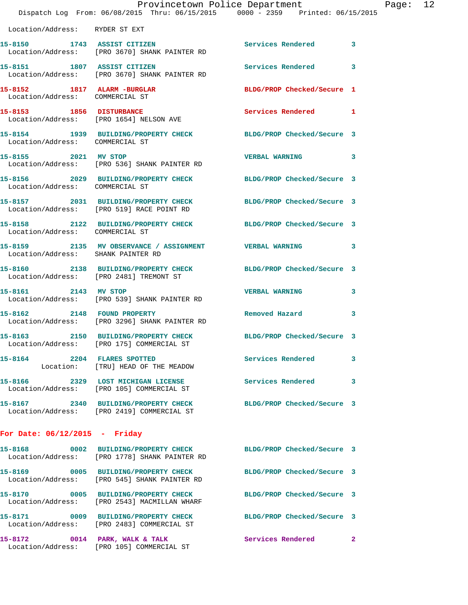|                                                                 | Dispatch Log From: 06/08/2015 Thru: 06/15/2015 0000 - 2359 Printed: 06/15/2015                                   | Provincetown Police Department |              | Page: 12 |
|-----------------------------------------------------------------|------------------------------------------------------------------------------------------------------------------|--------------------------------|--------------|----------|
| Location/Address: RYDER ST EXT                                  |                                                                                                                  |                                |              |          |
|                                                                 | 15-8150 1743 ASSIST CITIZEN<br>Location/Address: [PRO 3670] SHANK PAINTER RD                                     | Services Rendered 3            |              |          |
|                                                                 | 15-8151 1807 ASSIST CITIZEN<br>Location/Address: [PRO 3670] SHANK PAINTER RD                                     | Services Rendered              | $\mathbf{3}$ |          |
| 15-8152 1817 ALARM - BURGLAR<br>Location/Address: COMMERCIAL ST |                                                                                                                  | BLDG/PROP Checked/Secure 1     |              |          |
|                                                                 | 15-8153 1856 DISTURBANCE<br>Location/Address: [PRO 1654] NELSON AVE                                              | Services Rendered 1            |              |          |
| Location/Address: COMMERCIAL ST                                 | 15-8154 1939 BUILDING/PROPERTY CHECK BLDG/PROP Checked/Secure 3                                                  |                                |              |          |
|                                                                 | 15-8155 2021 MV STOP<br>Location/Address: [PRO 536] SHANK PAINTER RD                                             | VERBAL WARNING 3               |              |          |
| Location/Address: COMMERCIAL ST                                 | 15-8156 2029 BUILDING/PROPERTY CHECK BLDG/PROP Checked/Secure 3                                                  |                                |              |          |
|                                                                 | 15-8157 2031 BUILDING/PROPERTY CHECK BLDG/PROP Checked/Secure 3<br>Location/Address: [PRO 519] RACE POINT RD     |                                |              |          |
| Location/Address: COMMERCIAL ST                                 | 15-8158 2122 BUILDING/PROPERTY CHECK BLDG/PROP Checked/Secure 3                                                  |                                |              |          |
| Location/Address: SHANK PAINTER RD                              | 15-8159 2135 MV OBSERVANCE / ASSIGNMENT VERBAL WARNING 3                                                         |                                |              |          |
|                                                                 | 15-8160 2138 BUILDING/PROPERTY CHECK BLDG/PROP Checked/Secure 3<br>Location/Address: [PRO 2481] TREMONT ST       |                                |              |          |
|                                                                 | 15-8161 2143 MV STOP<br>Location/Address: [PRO 539] SHANK PAINTER RD                                             | <b>VERBAL WARNING</b>          | 3            |          |
| 15-8162 2148 FOUND PROPERTY                                     | Location/Address: [PRO 3296] SHANK PAINTER RD                                                                    | Removed Hazard                 | $\mathbf{3}$ |          |
|                                                                 | 15-8163 2150 BUILDING/PROPERTY CHECK BLDG/PROP Checked/Secure 3<br>Location/Address: [PRO 175] COMMERCIAL ST     |                                |              |          |
|                                                                 | 15-8164 2204 FLARES SPOTTED<br>Location: [TRU] HEAD OF THE MEADOW                                                | Services Rendered 3            |              |          |
|                                                                 | 15-8166 2329 LOST MICHIGAN LICENSE<br>Location/Address: [PRO 105] COMMERCIAL ST                                  | Services Rendered 3            |              |          |
|                                                                 | 15-8167 2340 BUILDING/PROPERTY CHECK BLDG/PROP Checked/Secure 3<br>Location/Address: [PRO 2419] COMMERCIAL ST    |                                |              |          |
| For Date: $06/12/2015$ - Friday                                 |                                                                                                                  |                                |              |          |
|                                                                 | 15-8168 0002 BUILDING/PROPERTY CHECK BLDG/PROP Checked/Secure 3<br>Location/Address: [PRO 1778] SHANK PAINTER RD |                                |              |          |
|                                                                 | 15-8169 0005 BUILDING/PROPERTY CHECK<br>Location/Address: [PRO 545] SHANK PAINTER RD                             | BLDG/PROP Checked/Secure 3     |              |          |
|                                                                 | 15-8170 0005 BUILDING/PROPERTY CHECK BLDG/PROP Checked/Secure 3<br>Location/Address: [PRO 2543] MACMILLAN WHARF  |                                |              |          |
|                                                                 | 15-8171 0009 BUILDING/PROPERTY CHECK BLDG/PROP Checked/Secure 3<br>Location/Address: [PRO 2483] COMMERCIAL ST    |                                |              |          |
|                                                                 | 15-8172 0014 PARK, WALK & TALK<br>Location/Address: [PRO 105] COMMERCIAL ST                                      | Services Rendered 2            |              |          |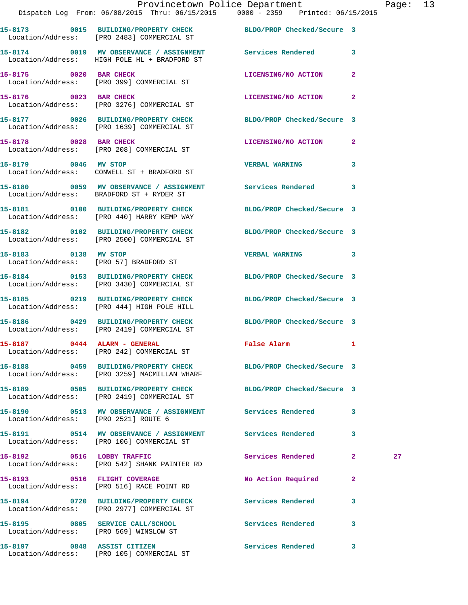|                                      | Provincetown Police Department<br>Dispatch Log From: 06/08/2015 Thru: 06/15/2015 0000 - 2359 Printed: 06/15/2015 |                            |              | Page: 13 |  |
|--------------------------------------|------------------------------------------------------------------------------------------------------------------|----------------------------|--------------|----------|--|
|                                      | 15-8173 0015 BUILDING/PROPERTY CHECK BLDG/PROP Checked/Secure 3<br>Location/Address: [PRO 2483] COMMERCIAL ST    |                            |              |          |  |
|                                      | 15-8174 0019 MV OBSERVANCE / ASSIGNMENT Services Rendered 3<br>Location/Address: HIGH POLE HL + BRADFORD ST      |                            |              |          |  |
|                                      | 15-8175 0020 BAR CHECK<br>Location/Address: [PRO 399] COMMERCIAL ST                                              | LICENSING/NO ACTION        | $\mathbf{2}$ |          |  |
| 15-8176 0023 BAR CHECK               | Location/Address: [PRO 3276] COMMERCIAL ST                                                                       | LICENSING/NO ACTION 2      |              |          |  |
|                                      | 15-8177 0026 BUILDING/PROPERTY CHECK BLDG/PROP Checked/Secure 3<br>Location/Address: [PRO 1639] COMMERCIAL ST    |                            |              |          |  |
| 15-8178 0028 BAR CHECK               | Location/Address: [PRO 208] COMMERCIAL ST                                                                        | LICENSING/NO ACTION 2      |              |          |  |
|                                      | 15-8179 0046 MV STOP<br>Location/Address: CONWELL ST + BRADFORD ST                                               | <b>VERBAL WARNING</b>      | 3            |          |  |
|                                      | 15-8180 0059 MV OBSERVANCE / ASSIGNMENT Services Rendered 3<br>Location/Address: BRADFORD ST + RYDER ST          |                            |              |          |  |
|                                      | 15-8181 0100 BUILDING/PROPERTY CHECK BLDG/PROP Checked/Secure 3<br>Location/Address: [PRO 440] HARRY KEMP WAY    |                            |              |          |  |
|                                      | 15-8182 0102 BUILDING/PROPERTY CHECK BLDG/PROP Checked/Secure 3<br>Location/Address: [PRO 2500] COMMERCIAL ST    |                            |              |          |  |
|                                      | 15-8183 0138 MV STOP<br>Location/Address: [PRO 57] BRADFORD ST                                                   | VERBAL WARNING 3           |              |          |  |
|                                      | 15-8184 0153 BUILDING/PROPERTY CHECK BLDG/PROP Checked/Secure 3<br>Location/Address: [PRO 3430] COMMERCIAL ST    |                            |              |          |  |
|                                      | 15-8185 0219 BUILDING/PROPERTY CHECK BLDG/PROP Checked/Secure 3<br>Location/Address: [PRO 444] HIGH POLE HILL    |                            |              |          |  |
|                                      | 15-8186 0429 BUILDING/PROPERTY CHECK BLDG/PROP Checked/Secure 3<br>Location/Address: [PRO 2419] COMMERCIAL ST    |                            |              |          |  |
|                                      | 15-8187 0444 ALARM - GENERAL<br>Location/Address: [PRO 242] COMMERCIAL ST                                        | False Alarm                | 1            |          |  |
|                                      | 15-8188 0459 BUILDING/PROPERTY CHECK BLDG/PROP Checked/Secure 3<br>Location/Address: [PRO 3259] MACMILLAN WHARF  |                            |              |          |  |
|                                      | 15-8189 0505 BUILDING/PROPERTY CHECK<br>Location/Address: [PRO 2419] COMMERCIAL ST                               | BLDG/PROP Checked/Secure 3 |              |          |  |
| Location/Address: [PRO 2521] ROUTE 6 | 15-8190 0513 MV OBSERVANCE / ASSIGNMENT Services Rendered 3                                                      |                            |              |          |  |
|                                      | Location/Address: [PRO 106] COMMERCIAL ST                                                                        |                            | 3            |          |  |
| 15-8192 0516 LOBBY TRAFFIC           | Location/Address: [PRO 542] SHANK PAINTER RD                                                                     | Services Rendered          | $\mathbf{2}$ | 27       |  |
|                                      | 15-8193 0516 FLIGHT COVERAGE<br>Location/Address: [PRO 516] RACE POINT RD                                        | No Action Required         | $\mathbf{2}$ |          |  |
|                                      | 15-8194 0720 BUILDING/PROPERTY CHECK<br>Location/Address: [PRO 2977] COMMERCIAL ST                               | <b>Services Rendered</b>   | 3            |          |  |

Location/Address: [PRO 569] WINSLOW ST

Location/Address: [PRO 105] COMMERCIAL ST

**15-8195 0805 SERVICE CALL/SCHOOL Services Rendered 3** 

**15-8197 0848 ASSIST CITIZEN Services Rendered 3**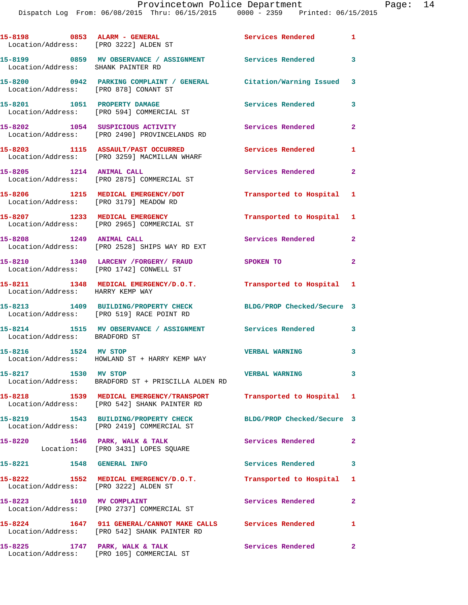## Provincetown Police Department Page: 14

Dispatch Log From: 06/08/2015 Thru: 06/15/2015 0000 - 2359 Printed: 06/15/2015

|                                        | 15-8198 0853 ALARM - GENERAL<br>Location/Address: [PRO 3222] ALDEN ST                                                              | <b>Services Rendered</b> 1 |                         |
|----------------------------------------|------------------------------------------------------------------------------------------------------------------------------------|----------------------------|-------------------------|
| Location/Address: SHANK PAINTER RD     | 15-8199 		 0859 MV OBSERVANCE / ASSIGNMENT Services Rendered 3                                                                     |                            |                         |
| Location/Address: [PRO 878] CONANT ST  | 15-8200 0942 PARKING COMPLAINT / GENERAL Citation/Warning Issued 3                                                                 |                            |                         |
|                                        | 15-8201 1051 PROPERTY DAMAGE<br>Location/Address: [PRO 594] COMMERCIAL ST                                                          | Services Rendered          | 3                       |
|                                        | 15-8202 1054 SUSPICIOUS ACTIVITY<br>Location/Address: [PRO 2490] PROVINCELANDS RD                                                  | Services Rendered          | $\mathbf{2}$            |
|                                        | 15-8203 1115 ASSAULT/PAST OCCURRED<br>Location/Address: [PRO 3259] MACMILLAN WHARF                                                 | Services Rendered          | 1                       |
| 15-8205 1214 ANIMAL CALL               | Location/Address: [PRO 2875] COMMERCIAL ST                                                                                         | Services Rendered          | $\mathbf{2}$            |
| Location/Address: [PRO 3179] MEADOW RD | 15-8206 1215 MEDICAL EMERGENCY/DOT                                                                                                 | Transported to Hospital 1  |                         |
|                                        | 15-8207 1233 MEDICAL EMERGENCY<br>Location/Address: [PRO 2965] COMMERCIAL ST                                                       | Transported to Hospital 1  |                         |
| 15-8208 1249 ANIMAL CALL               | Location/Address: [PRO 2528] SHIPS WAY RD EXT                                                                                      | Services Rendered          | $\mathbf{2}$            |
|                                        | 15-8210 1340 LARCENY /FORGERY/ FRAUD<br>Location/Address: [PRO 1742] CONWELL ST                                                    | <b>SPOKEN TO</b>           | $\overline{2}$          |
| Location/Address: HARRY KEMP WAY       | 15-8211 1348 MEDICAL EMERGENCY/D.O.T.                                                                                              | Transported to Hospital 1  |                         |
|                                        | 15-8213 1409 BUILDING/PROPERTY CHECK<br>Location/Address: [PRO 519] RACE POINT RD                                                  | BLDG/PROP Checked/Secure 3 |                         |
| Location/Address: BRADFORD ST          | 15-8214 1515 MV OBSERVANCE / ASSIGNMENT Services Rendered                                                                          |                            | 3                       |
| 1524 MV STOP<br>15-8216                | Location/Address: HOWLAND ST + HARRY KEMP WAY                                                                                      | <b>VERBAL WARNING</b>      | 3                       |
| 15-8217 1530 MV STOP                   | Location/Address: BRADFORD ST + PRISCILLA ALDEN RD                                                                                 | <b>VERBAL WARNING</b>      | $\overline{\mathbf{3}}$ |
|                                        | 15-8218      1539   MEDICAL EMERGENCY/TRANSPORT      Transported to Hospital   1<br>Location/Address:   [PRO 542] SHANK PAINTER RD |                            |                         |
|                                        | 15-8219 1543 BUILDING/PROPERTY CHECK<br>Location/Address: [PRO 2419] COMMERCIAL ST                                                 | BLDG/PROP Checked/Secure 3 |                         |
| 15-8220                                | 1546 PARK, WALK & TALK<br>Location: [PRO 3431] LOPES SQUARE                                                                        | Services Rendered          | $\mathbf{2}$            |
| 15-8221 1548 GENERAL INFO              |                                                                                                                                    | Services Rendered 3        |                         |
|                                        | 15-8222 1552 MEDICAL EMERGENCY/D.O.T.<br>Location/Address: [PRO 3222] ALDEN ST                                                     | Transported to Hospital 1  |                         |
| 15-8223 1610 MV COMPLAINT              | Location/Address: [PRO 2737] COMMERCIAL ST                                                                                         | Services Rendered          | $\mathbf{2}$            |
|                                        | 15-8224 1647 911 GENERAL/CANNOT MAKE CALLS Services Rendered<br>Location/Address: [PRO 542] SHANK PAINTER RD                       |                            | $\mathbf{1}$            |
| 15-8225 1747 PARK, WALK & TALK         | Location/Address: [PRO 105] COMMERCIAL ST                                                                                          | <b>Services Rendered</b>   | $\mathbf{2}$            |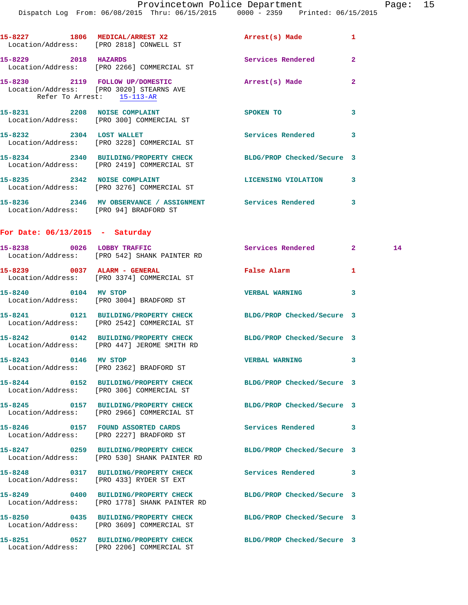Page: 15<br>2015

|                                        | Provincetown Police Department<br>Dispatch Log From: 06/08/2015 Thru: 06/15/2015 0000 - 2359 Printed: 06/15/2015 |                            | Page           |
|----------------------------------------|------------------------------------------------------------------------------------------------------------------|----------------------------|----------------|
|                                        | 15-8227 1806 MEDICAL/ARREST X2<br>Location/Address: [PRO 2818] CONWELL ST                                        | Arrest(s) Made             | 1              |
| 15-8229 2018 HAZARDS                   | Location/Address: [PRO 2266] COMMERCIAL ST                                                                       | Services Rendered          | $\overline{a}$ |
| Refer To Arrest: 15-113-AR             | 15-8230 2119 FOLLOW UP/DOMESTIC<br>Location/Address: [PRO 3020] STEARNS AVE                                      | Arrest(s) Made             | $\overline{a}$ |
|                                        | 15-8231 2208 NOISE COMPLAINT<br>Location/Address: [PRO 300] COMMERCIAL ST                                        | SPOKEN TO                  | 3              |
| 15-8232 2304 LOST WALLET               | Location/Address: [PRO 3228] COMMERCIAL ST                                                                       | Services Rendered 3        |                |
|                                        | 15-8234 2340 BUILDING/PROPERTY CHECK<br>Location/Address: [PRO 2419] COMMERCIAL ST                               | BLDG/PROP Checked/Secure 3 |                |
|                                        | 15-8235 2342 NOISE COMPLAINT<br>Location/Address: [PRO 3276] COMMERCIAL ST                                       | <b>LICENSING VIOLATION</b> | 3              |
| Location/Address: [PRO 94] BRADFORD ST | 15-8236 				2346 		MV OBSERVANCE / ASSIGNMENT 							 Services Rendered 				 3                                   |                            |                |
| For Date: $06/13/2015$ - Saturday      |                                                                                                                  |                            |                |
|                                        | 15-8238 0026 LOBBY TRAFFIC<br>Location/Address: [PRO 542] SHANK PAINTER RD                                       | Services Rendered 2        | 14             |
|                                        | 15-8239 0037 ALARM - GENERAL<br>Location/Address: [PRO 3374] COMMERCIAL ST                                       | False Alarm                | 1              |
| 15-8240 0104 MV STOP                   | Location/Address: [PRO 3004] BRADFORD ST                                                                         | <b>VERBAL WARNING</b>      | 3              |
|                                        | 15-8241 0121 BUILDING/PROPERTY CHECK BLDG/PROP Checked/Secure 3<br>Location/Address: [PRO 2542] COMMERCIAL ST    |                            |                |
|                                        | 15-8242 0142 BUILDING/PROPERTY CHECK BLDG/PROP Checked/Secure 3<br>Location/Address: [PRO 447] JEROME SMITH RD   |                            |                |
| 15-8243 0146 MV STOP                   | Location/Address: [PRO 2362] BRADFORD ST                                                                         | <b>VERBAL WARNING</b>      | 3              |
|                                        | 15-8244 0152 BUILDING/PROPERTY CHECK BLDG/PROP Checked/Secure 3<br>Location/Address: [PRO 306] COMMERCIAL ST     |                            |                |
|                                        | 15-8245 0157 BUILDING/PROPERTY CHECK<br>Location/Address: [PRO 2966] COMMERCIAL ST                               | BLDG/PROP Checked/Secure 3 |                |
|                                        | 15-8246 0157 FOUND ASSORTED CARDS<br>Location/Address: [PRO 2227] BRADFORD ST                                    | <b>Services Rendered</b>   | 3              |
|                                        | 15-8247 0259 BUILDING/PROPERTY CHECK<br>Location/Address: [PRO 530] SHANK PAINTER RD                             | BLDG/PROP Checked/Secure 3 |                |
|                                        | 15-8248 0317 BUILDING/PROPERTY CHECK<br>Location/Address: [PRO 433] RYDER ST EXT                                 | Services Rendered          | 3              |
|                                        | 15-8249 0400 BUILDING/PROPERTY CHECK<br>Location/Address: [PRO 1778] SHANK PAINTER RD                            | BLDG/PROP Checked/Secure 3 |                |
|                                        | 15-8250 0435 BUILDING/PROPERTY CHECK BLDG/PROP Checked/Secure 3<br>Location/Address: [PRO 3609] COMMERCIAL ST    |                            |                |
|                                        | 15-8251 0527 BUILDING/PROPERTY CHECK BLDG/PROP Checked/Secure 3<br>Location/Address: [PRO 2206] COMMERCIAL ST    |                            |                |
|                                        |                                                                                                                  |                            |                |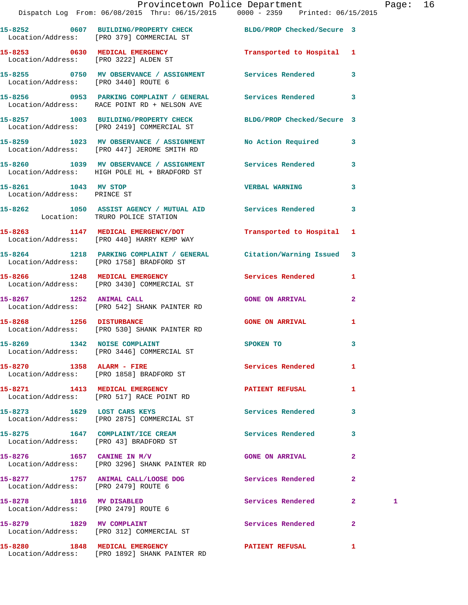|                                                     | Provincetown Police Department The Rage: 16                                                                    |                           |              |   |  |
|-----------------------------------------------------|----------------------------------------------------------------------------------------------------------------|---------------------------|--------------|---|--|
|                                                     | 15-8252 0607 BUILDING/PROPERTY CHECK BLDG/PROP Checked/Secure 3<br>Location/Address: [PRO 379] COMMERCIAL ST   |                           |              |   |  |
|                                                     | 15-8253 0630 MEDICAL EMERGENCY Transported to Hospital 1<br>Location/Address: [PRO 3222] ALDEN ST              |                           |              |   |  |
|                                                     | 15-8255  0750  MV OBSERVANCE / ASSIGNMENT  Services Rendered  3<br>Location/Address: [PRO 3440] ROUTE 6        |                           |              |   |  |
|                                                     | 15-8256 0953 PARKING COMPLAINT / GENERAL Services Rendered 3<br>Location/Address: RACE POINT RD + NELSON AVE   |                           |              |   |  |
|                                                     | 15-8257 1003 BUILDING/PROPERTY CHECK BLDG/PROP Checked/Secure 3<br>Location/Address: [PRO 2419] COMMERCIAL ST  |                           |              |   |  |
|                                                     | 15-8259 1023 MV OBSERVANCE / ASSIGNMENT No Action Required 3<br>Location/Address: [PRO 447] JEROME SMITH RD    |                           |              |   |  |
|                                                     | 15-8260 1039 MV OBSERVANCE / ASSIGNMENT Services Rendered 3<br>Location/Address: HIGH POLE HL + BRADFORD ST    |                           |              |   |  |
| 15-8261 1043 MV STOP<br>Location/Address: PRINCE ST |                                                                                                                | <b>VERBAL WARNING</b>     | $\mathbf{3}$ |   |  |
|                                                     | 15-8262 1050 ASSIST AGENCY / MUTUAL AID Services Rendered 3<br>Location: TRURO POLICE STATION                  |                           |              |   |  |
|                                                     | 15-8263 1147 MEDICAL EMERGENCY/DOT<br>Location/Address: [PRO 440] HARRY KEMP WAY                               | Transported to Hospital 1 |              |   |  |
|                                                     | 15-8264 1218 PARKING COMPLAINT / GENERAL Citation/Warning Issued 3<br>Location/Address: [PRO 1758] BRADFORD ST |                           |              |   |  |
|                                                     | 15-8266 1248 MEDICAL EMERGENCY Services Rendered 1<br>Location/Address: [PRO 3430] COMMERCIAL ST               |                           |              |   |  |
| 15-8267 1252 ANIMAL CALL                            | Location/Address: [PRO 542] SHANK PAINTER RD                                                                   | <b>GONE ON ARRIVAL</b>    | $\mathbf{2}$ |   |  |
|                                                     | 15-8268 1256 DISTURBANCE<br>Location/Address: [PRO 530] SHANK PAINTER RD                                       | GONE ON ARRIVAL 1         |              |   |  |
|                                                     | 15-8269 1342 NOISE COMPLAINT THE SPOKEN TO<br>Location/Address: [PRO 3446] COMMERCIAL ST                       |                           | $\mathbf{B}$ |   |  |
|                                                     | 15-8270 1358 ALARM - FIRE<br>Location/Address: [PRO 1858] BRADFORD ST                                          | Services Rendered 1       |              |   |  |
|                                                     | 15-8271 1413 MEDICAL EMERGENCY<br>Location/Address: [PRO 517] RACE POINT RD                                    | PATIENT REFUSAL 1         |              |   |  |
|                                                     | 15-8273 1629 LOST CARS KEYS<br>Location/Address: [PRO 2875] COMMERCIAL ST                                      | <b>Services Rendered</b>  | 3            |   |  |
|                                                     | 15-8275 1647 COMPLAINT/ICE CREAM Services Rendered 3<br>Location/Address: [PRO 43] BRADFORD ST                 |                           |              |   |  |
|                                                     | $15-8276$ 1657 CANINE IN M/V<br>Location/Address: [PRO 3296] SHANK PAINTER RD                                  | <b>GONE ON ARRIVAL</b>    | $\mathbf{2}$ |   |  |
| Location/Address: [PRO 2479] ROUTE 6                | 15-8277 1757 ANIMAL CALL/LOOSE DOG Services Rendered                                                           |                           | $\mathbf{2}$ |   |  |
| Location/Address: [PRO 2479] ROUTE 6                | 15-8278 1816 MV DISABLED                                                                                       | Services Rendered 2       |              | 1 |  |
| 15-8279 1829 MV COMPLAINT                           | Location/Address: [PRO 312] COMMERCIAL ST                                                                      | Services Rendered         | $\mathbf{2}$ |   |  |
|                                                     | 15-8280 1848 MEDICAL EMERGENCY 1 PATIENT REFUSAL 1                                                             |                           |              |   |  |

Location/Address: [PRO 1892] SHANK PAINTER RD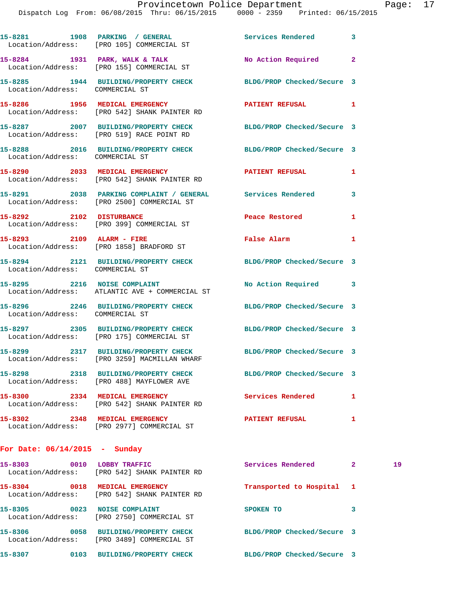|                                 | 15-8281 1908 PARKING / GENERAL<br>Location/Address: [PRO 105] COMMERCIAL ST                              | Services Rendered 3        |   |
|---------------------------------|----------------------------------------------------------------------------------------------------------|----------------------------|---|
|                                 | 15-8284 1931 PARK, WALK & TALK<br>Location/Address: [PRO 155] COMMERCIAL ST                              | No Action Required 2       |   |
| Location/Address: COMMERCIAL ST | 15-8285 1944 BUILDING/PROPERTY CHECK                                                                     | BLDG/PROP Checked/Secure 3 |   |
|                                 | 15-8286 1956 MEDICAL EMERGENCY<br>Location/Address: [PRO 542] SHANK PAINTER RD                           | PATIENT REFUSAL 1          |   |
|                                 | 15-8287 2007 BUILDING/PROPERTY CHECK<br>Location/Address: [PRO 519] RACE POINT RD                        | BLDG/PROP Checked/Secure 3 |   |
| Location/Address: COMMERCIAL ST | 15-8288 2016 BUILDING/PROPERTY CHECK                                                                     | BLDG/PROP Checked/Secure 3 |   |
|                                 | 15-8290 2033 MEDICAL EMERGENCY<br>Location/Address: [PRO 542] SHANK PAINTER RD                           | <b>PATIENT REFUSAL</b>     | 1 |
|                                 | 15-8291 2038 PARKING COMPLAINT / GENERAL Services Rendered<br>Location/Address: [PRO 2500] COMMERCIAL ST |                            | 3 |
| 15-8292 2102 DISTURBANCE        | Location/Address: [PRO 399] COMMERCIAL ST                                                                | Peace Restored             | 1 |
|                                 | 15-8293 2109 ALARM - FIRE<br>Location/Address: [PRO 1858] BRADFORD ST                                    | False Alarm                | 1 |
| Location/Address: COMMERCIAL ST | 15-8294 2121 BUILDING/PROPERTY CHECK BLDG/PROP Checked/Secure 3                                          |                            |   |
|                                 | 15-8295 2216 NOISE COMPLAINT<br>Location/Address: ATLANTIC AVE + COMMERCIAL ST                           | No Action Required 3       |   |
| Location/Address: COMMERCIAL ST | 15-8296 2246 BUILDING/PROPERTY CHECK                                                                     | BLDG/PROP Checked/Secure 3 |   |
|                                 | 15-8297 2305 BUILDING/PROPERTY CHECK<br>Location/Address: [PRO 175] COMMERCIAL ST                        | BLDG/PROP Checked/Secure 3 |   |
|                                 | 15-8299 2317 BUILDING/PROPERTY CHECK<br>Location/Address: [PRO 3259] MACMILLAN WHARF                     | BLDG/PROP Checked/Secure 3 |   |
|                                 | 15-8298 2318 BUILDING/PROPERTY CHECK<br>Location/Address: [PRO 488] MAYFLOWER AVE                        | BLDG/PROP Checked/Secure 3 |   |
| 15-8300 2334 MEDICAL EMERGENCY  | Location/Address: [PRO 542] SHANK PAINTER RD                                                             | Services Rendered          | 1 |
| 15-8302 2348 MEDICAL EMERGENCY  | Location/Address: [PRO 2977] COMMERCIAL ST                                                               | <b>PATIENT REFUSAL</b>     | 1 |
| For Date: $06/14/2015$ - Sunday |                                                                                                          |                            |   |

| 15-8303<br>0010                      | LOBBY TRAFFIC<br>Location/Address: [PRO 542] SHANK PAINTER RD     | Services Rendered          | 2            | 19 |
|--------------------------------------|-------------------------------------------------------------------|----------------------------|--------------|----|
| 15-8304<br>0018                      | MEDICAL EMERGENCY<br>Location/Address: [PRO 542] SHANK PAINTER RD | Transported to Hospital    | $\mathbf{1}$ |    |
| 15-8305<br>0023<br>Location/Address: | <b>NOISE COMPLAINT</b><br>[PRO 2750] COMMERCIAL ST                | <b>SPOKEN TO</b>           | 3            |    |
| 15-8306<br>0058<br>Location/Address: | <b>BUILDING/PROPERTY CHECK</b><br>[PRO 3489] COMMERCIAL ST        | BLDG/PROP Checked/Secure 3 |              |    |
| 15-8307<br>0103                      | <b>BUILDING/PROPERTY CHECK</b>                                    | BLDG/PROP Checked/Secure 3 |              |    |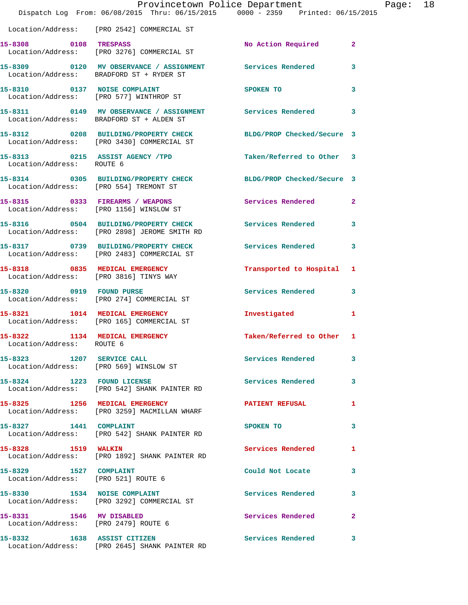|                                                               | Provincetown Police Department<br>Dispatch Log From: 06/08/2015 Thru: 06/15/2015 0000 - 2359 Printed: 06/15/2015 |                            | Page: 18     |
|---------------------------------------------------------------|------------------------------------------------------------------------------------------------------------------|----------------------------|--------------|
|                                                               | Location/Address: [PRO 2542] COMMERCIAL ST                                                                       |                            |              |
|                                                               | 15-8308 0108 TRESPASS<br>Location/Address: [PRO 3276] COMMERCIAL ST                                              | No Action Required 2       |              |
|                                                               | 15-8309 0120 MV OBSERVANCE / ASSIGNMENT Services Rendered 3<br>Location/Address: BRADFORD ST + RYDER ST          |                            |              |
|                                                               | 15-8310 0137 NOISE COMPLAINT<br>Location/Address: [PRO 577] WINTHROP ST                                          | SPOKEN TO                  | $\mathbf{3}$ |
|                                                               | 15-8311 0149 MV OBSERVANCE / ASSIGNMENT Services Rendered 3<br>Location/Address: BRADFORD ST + ALDEN ST          |                            |              |
|                                                               | 15-8312 0208 BUILDING/PROPERTY CHECK BLDG/PROP Checked/Secure 3<br>Location/Address: [PRO 3430] COMMERCIAL ST    |                            |              |
| Location/Address: ROUTE 6                                     | 15-8313 0215 ASSIST AGENCY / TPD                                                                                 | Taken/Referred to Other 3  |              |
|                                                               | 15-8314 0305 BUILDING/PROPERTY CHECK BLDG/PROP Checked/Secure 3<br>Location/Address: [PRO 554] TREMONT ST        |                            |              |
|                                                               | 15-8315 0333 FIREARMS / WEAPONS<br>Location/Address: [PRO 1156] WINSLOW ST                                       | Services Rendered 2        |              |
|                                                               | 15-8316 0504 BUILDING/PROPERTY CHECK Services Rendered 3<br>Location/Address: [PRO 2898] JEROME SMITH RD         |                            |              |
|                                                               | 15-8317 0739 BUILDING/PROPERTY CHECK Services Rendered 3<br>Location/Address: [PRO 2483] COMMERCIAL ST           |                            |              |
|                                                               | 15-8318 0835 MEDICAL EMERGENCY<br>Location/Address: [PRO 3816] TINYS WAY                                         | Transported to Hospital 1  |              |
|                                                               | 15-8320 0919 FOUND PURSE<br>Location/Address: [PRO 274] COMMERCIAL ST                                            | Services Rendered 3        |              |
|                                                               | 15-8321 1014 MEDICAL EMERGENCY<br>Location/Address: [PRO 165] COMMERCIAL ST                                      | Investigated 1             |              |
| 15-8322 1134 MEDICAL EMERGENCY<br>Location/Address: ROUTE 6   |                                                                                                                  | Taken/Referred to Other    | $\mathbf{1}$ |
|                                                               |                                                                                                                  | Services Rendered          | $\mathbf{3}$ |
|                                                               | 15-8324 1223 FOUND LICENSE<br>Location/Address: [PRO 542] SHANK PAINTER RD                                       | Services Rendered          | 3            |
|                                                               | 15-8325 1256 MEDICAL EMERGENCY<br>Location/Address: [PRO 3259] MACMILLAN WHARF                                   | <b>PATIENT REFUSAL</b>     | 1            |
|                                                               | 15-8327 1441 COMPLAINT<br>Location/Address: [PRO 542] SHANK PAINTER RD                                           | SPOKEN TO                  | 3            |
| 15-8328 1519 WALKIN                                           | Location/Address: [PRO 1892] SHANK PAINTER RD                                                                    | <b>Services Rendered</b> 1 |              |
| 15-8329 1527 COMPLAINT<br>Location/Address: [PRO 521] ROUTE 6 |                                                                                                                  | Could Not Locate 3         |              |
|                                                               | 15-8330 1534 NOISE COMPLAINT<br>Location/Address: [PRO 3292] COMMERCIAL ST                                       | Services Rendered 3        |              |
| Location/Address: [PRO 2479] ROUTE 6                          | 15-8331 1546 MV DISABLED                                                                                         | Services Rendered          | $\mathbf{2}$ |
| 15-8332 1638 ASSIST CITIZEN                                   | Location/Address: [PRO 2645] SHANK PAINTER RD                                                                    | Services Rendered 3        |              |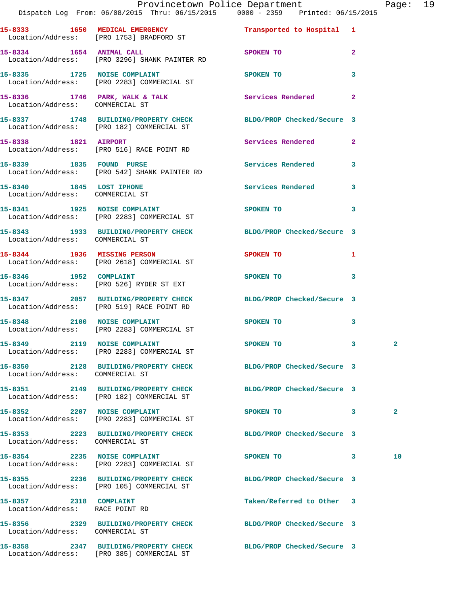|                                                           | Dispatch Log From: 06/08/2015 Thru: 06/15/2015 0000 - 2359 Printed: 06/15/2015                               | Provincetown Police Department       |                         | Page: 19     |  |
|-----------------------------------------------------------|--------------------------------------------------------------------------------------------------------------|--------------------------------------|-------------------------|--------------|--|
|                                                           | 15-8333 1650 MEDICAL EMERGENCY 1 Transported to Hospital 1<br>Location/Address: [PRO 1753] BRADFORD ST       |                                      |                         |              |  |
|                                                           | 15-8334 1654 ANIMAL CALL<br>Location/Address: [PRO 3296] SHANK PAINTER RD                                    | SPOKEN TO                            | $\mathbf{2}$            |              |  |
|                                                           |                                                                                                              | SPOKEN TO                            | 3                       |              |  |
| Location/Address: COMMERCIAL ST                           | 15-8336 1746 PARK, WALK & TALK 1988 Services Rendered 2                                                      |                                      |                         |              |  |
|                                                           | 15-8337 1748 BUILDING/PROPERTY CHECK BLDG/PROP Checked/Secure 3<br>Location/Address: [PRO 182] COMMERCIAL ST |                                      |                         |              |  |
|                                                           | 15-8338 1821 AIRPORT<br>Location/Address: [PRO 516] RACE POINT RD                                            | Services Rendered 2                  |                         |              |  |
|                                                           | 15-8339 1835 FOUND PURSE<br>Location/Address: [PRO 542] SHANK PAINTER RD                                     | Services Rendered 3                  |                         |              |  |
| Location/Address: COMMERCIAL ST                           | 15-8340 1845 LOST IPHONE                                                                                     | Services Rendered 3                  |                         |              |  |
|                                                           | 15-8341 1925 NOISE COMPLAINT SPOKEN TO<br>Location/Address: [PRO 2283] COMMERCIAL ST                         |                                      | $\mathbf{3}$            |              |  |
| Location/Address: COMMERCIAL ST                           | 15-8343 1933 BUILDING/PROPERTY CHECK BLDG/PROP Checked/Secure 3                                              |                                      |                         |              |  |
|                                                           | 15-8344 1936 MISSING PERSON<br>Location/Address: [PRO 2618] COMMERCIAL ST                                    | SPOKEN TO                            |                         |              |  |
|                                                           | 15-8346 1952 COMPLAINT<br>Location/Address: [PRO 526] RYDER ST EXT                                           | SPOKEN TO THE STATE OF THE SPOKEN TO | 3                       |              |  |
|                                                           | 15-8347 2057 BUILDING/PROPERTY CHECK BLDG/PROP Checked/Secure 3<br>Location/Address: [PRO 519] RACE POINT RD |                                      |                         |              |  |
|                                                           | 15-8348 2100 NOISE COMPLAINT<br>Location/Address: [PRO 2283] COMMERCIAL ST                                   | SPOKEN TO                            | $\mathbf{3}$            |              |  |
| 15-8349 2119 NOISE COMPLAINT                              | Location/Address: [PRO 2283] COMMERCIAL ST                                                                   | <b>SPOKEN TO</b>                     | $\overline{\mathbf{3}}$ |              |  |
| Location/Address: COMMERCIAL ST                           | 15-8350 2128 BUILDING/PROPERTY CHECK BLDG/PROP Checked/Secure 3                                              |                                      |                         |              |  |
|                                                           | 15-8351 2149 BUILDING/PROPERTY CHECK<br>Location/Address: [PRO 182] COMMERCIAL ST                            | BLDG/PROP Checked/Secure 3           |                         |              |  |
|                                                           | 15-8352 2207 NOISE COMPLAINT<br>Location/Address: [PRO 2283] COMMERCIAL ST                                   | SPOKEN TO                            | $\overline{\mathbf{3}}$ | $\mathbf{2}$ |  |
| Location/Address: COMMERCIAL ST                           | 15-8353 2223 BUILDING/PROPERTY CHECK BLDG/PROP Checked/Secure 3                                              |                                      |                         |              |  |
|                                                           | 15-8354 2235 NOISE COMPLAINT<br>Location/Address: [PRO 2283] COMMERCIAL ST                                   | SPOKEN TO<br>$\sim$ 3                |                         | 10           |  |
|                                                           | 15-8355 2236 BUILDING/PROPERTY CHECK BLDG/PROP Checked/Secure 3<br>Location/Address: [PRO 105] COMMERCIAL ST |                                      |                         |              |  |
| 15-8357 2318 COMPLAINT<br>Location/Address: RACE POINT RD |                                                                                                              | Taken/Referred to Other 3            |                         |              |  |
| Location/Address: COMMERCIAL ST                           | 15-8356 2329 BUILDING/PROPERTY CHECK BLDG/PROP Checked/Secure 3                                              |                                      |                         |              |  |
|                                                           | 15-8358      2347  BUILDING/PROPERTY CHECK        BLDG/PROP Checked/Secure 3                                 |                                      |                         |              |  |

Location/Address: [PRO 385] COMMERCIAL ST